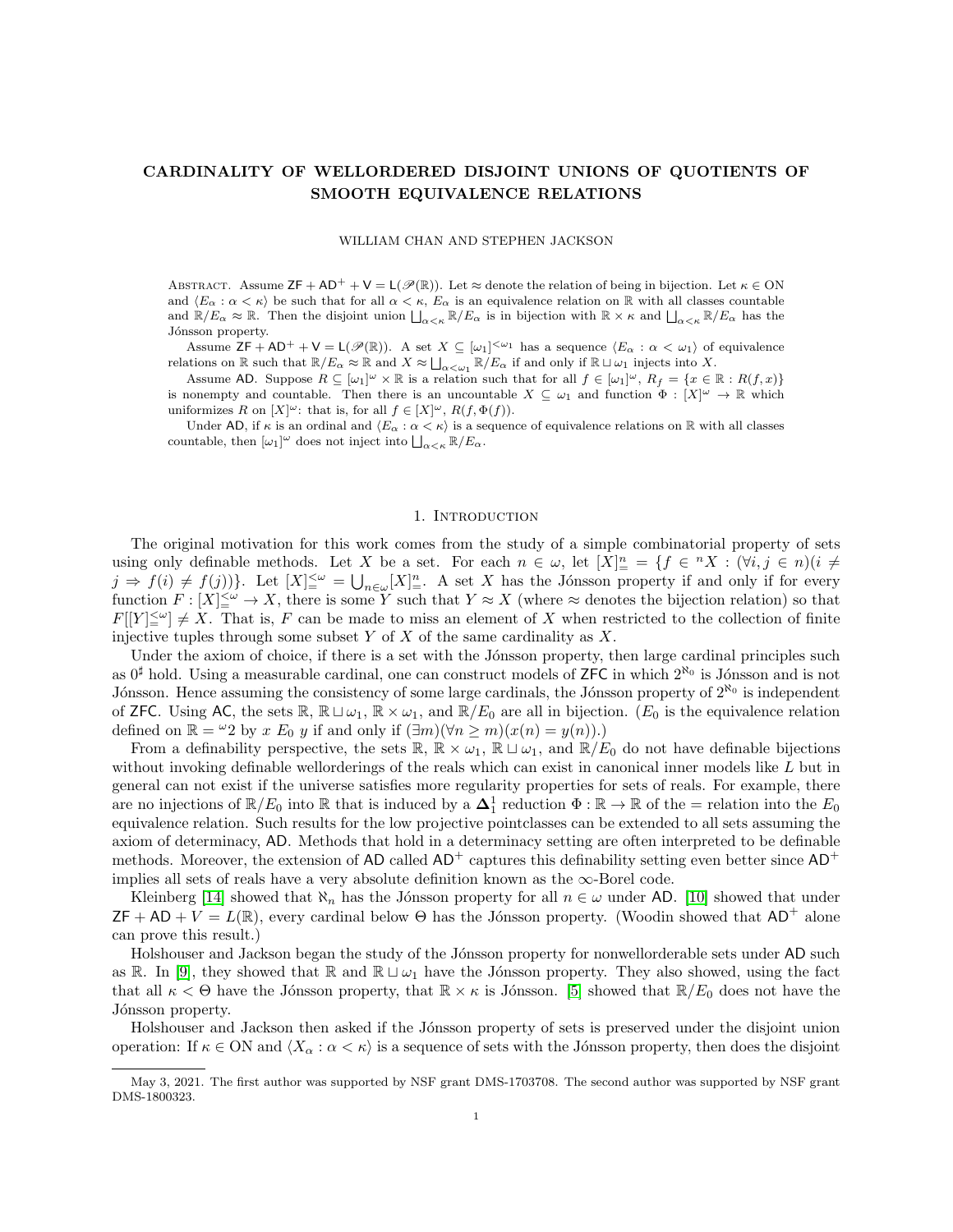## CARDINALITY OF WELLORDERED DISJOINT UNIONS OF QUOTIENTS OF SMOOTH EQUIVALENCE RELATIONS

#### WILLIAM CHAN AND STEPHEN JACKSON

ABSTRACT. Assume  $\mathsf{ZF} + \mathsf{AD}^+ + \mathsf{V} = \mathsf{L}(\mathscr{P}(\mathbb{R}))$ . Let  $\approx$  denote the relation of being in bijection. Let  $\kappa \in \mathsf{ON}$ and  $\langle E_\alpha : \alpha < \kappa \rangle$  be such that for all  $\alpha < \kappa$ ,  $E_\alpha$  is an equivalence relation on R with all classes countable and  $\mathbb{R}/E_{\alpha} \approx \mathbb{R}$ . Then the disjoint union  $\bigsqcup_{\alpha<\kappa} \mathbb{R}/E_{\alpha}$  is in bijection with  $\mathbb{R}\times\kappa$  and  $\bigsqcup_{\alpha<\kappa} \mathbb{R}/E_{\alpha}$  has the Jónsson property.

Assume  $\mathsf{ZF} + \mathsf{AD^+} + \mathsf{V} = \mathsf{L}(\mathscr{P}(\mathbb{R}))$ . A set  $X \subseteq [\omega_1]^{<\omega_1}$  has a sequence  $\langle E_\alpha : \alpha < \omega_1 \rangle$  of equivalence relations on  $\mathbb R$  such that  $\mathbb R/E_\alpha \approx \mathbb R$  and  $X \approx \bigsqcup_{\alpha<\omega_1} \mathbb R/E_\alpha$  if and only if  $\mathbb R \sqcup \omega_1$  injects into X.

Assume AD. Suppose  $R \subseteq [\omega_1]^{\omega} \times \mathbb{R}$  is a relation such that for all  $f \in [\omega_1]^{\omega}$ ,  $R_f = \{x \in \mathbb{R} : R(f,x)\}\$ is nonempty and countable. Then there is an uncountable  $X \subseteq \omega_1$  and function  $\Phi : [X]^\omega \to \mathbb{R}$  which uniformizes R on  $[X]^\omega$ : that is, for all  $f \in [X]^\omega$ ,  $R(f, \Phi(f))$ .

Under AD, if  $\kappa$  is an ordinal and  $\langle E_\alpha : \alpha < \kappa \rangle$  is a sequence of equivalence relations on R with all classes countable, then  $[\omega_1]^\omega$  does not inject into  $\bigsqcup_{\alpha<\kappa} \mathbb{R}/E_\alpha$ .

#### 1. Introduction

The original motivation for this work comes from the study of a simple combinatorial property of sets using only definable methods. Let X be a set. For each  $n \in \omega$ , let  $[X]_{\equiv}^n = \{f \in {}^n X : (\forall i, j \in n)(i \neq j\})$  $j \Rightarrow f(i) \neq f(j)$ . Let  $[X]_{=}^{\leq \omega} = \bigcup_{n \in \omega} [X]_{=}^n$ . A set X has the Jónsson property if and only if for every function  $F: [X]^{<\omega}_\equiv \to X$ , there is some Y such that  $Y \approx X$  (where  $\approx$  denotes the bijection relation) so that  $F[[Y]_-^{\leq \omega}] \neq X$ . That is, F can be made to miss an element of X when restricted to the collection of finite injective tuples through some subset Y of X of the same cardinality as  $X$ .

Under the axiom of choice, if there is a set with the Jónsson property, then large cardinal principles such as  $0^{\sharp}$  hold. Using a measurable cardinal, one can construct models of ZFC in which  $2^{\aleph_0}$  is Jónsson and is not Jónsson. Hence assuming the consistency of some large cardinals, the Jónsson property of  $2^{\aleph_0}$  is independent of ZFC. Using AC, the sets  $\mathbb{R}, \mathbb{R} \sqcup \omega_1, \mathbb{R} \times \omega_1$ , and  $\mathbb{R}/E_0$  are all in bijection. ( $E_0$  is the equivalence relation defined on  $\mathbb{R} = \{0, y \in E_0, y \in \mathbb{R} \}$  and only if  $(\exists m)(\forall n \ge m)(x(n) = y(n)).$ 

From a definability perspective, the sets  $\mathbb{R}, \mathbb{R} \times \omega_1, \mathbb{R} \sqcup \omega_1$ , and  $\mathbb{R}/E_0$  do not have definable bijections without invoking definable wellorderings of the reals which can exist in canonical inner models like L but in general can not exist if the universe satisfies more regularity properties for sets of reals. For example, there are no injections of  $\mathbb{R}/E_0$  into  $\mathbb{R}$  that is induced by a  $\Delta_1^1$  reduction  $\Phi : \mathbb{R} \to \mathbb{R}$  of the = relation into the  $E_0$ equivalence relation. Such results for the low projective pointclasses can be extended to all sets assuming the axiom of determinacy, AD. Methods that hold in a determinacy setting are often interpreted to be definable methods. Moreover, the extension of AD called  $AD^+$  captures this definability setting even better since  $AD^+$ implies all sets of reals have a very absolute definition known as the ∞-Borel code.

Kleinberg [\[14\]](#page-17-0) showed that  $\aleph_n$  has the Jónsson property for all  $n \in \omega$  under AD. [\[10\]](#page-16-0) showed that under  $ZF + AD + V = L(\mathbb{R})$ , every cardinal below  $\Theta$  has the Jónsson property. (Woodin showed that  $AD^+$  alone can prove this result.)

Holshouser and Jackson began the study of the Jónsson property for nonwellorderable sets under AD such as R. In [\[9\]](#page-16-1), they showed that R and  $\mathbb{R} \sqcup \omega_1$  have the Jónsson property. They also showed, using the fact that all  $\kappa < \Theta$  have the Jónsson property, that  $\mathbb{R} \times \kappa$  is Jónsson. [\[5\]](#page-16-2) showed that  $\mathbb{R}/E_0$  does not have the Jónsson property.

Holshouser and Jackson then asked if the Jónsson property of sets is preserved under the disjoint union operation: If  $\kappa \in \text{ON}$  and  $\langle X_\alpha : \alpha < \kappa \rangle$  is a sequence of sets with the Jónsson property, then does the disjoint

May 3, 2021. The first author was supported by NSF grant DMS-1703708. The second author was supported by NSF grant DMS-1800323.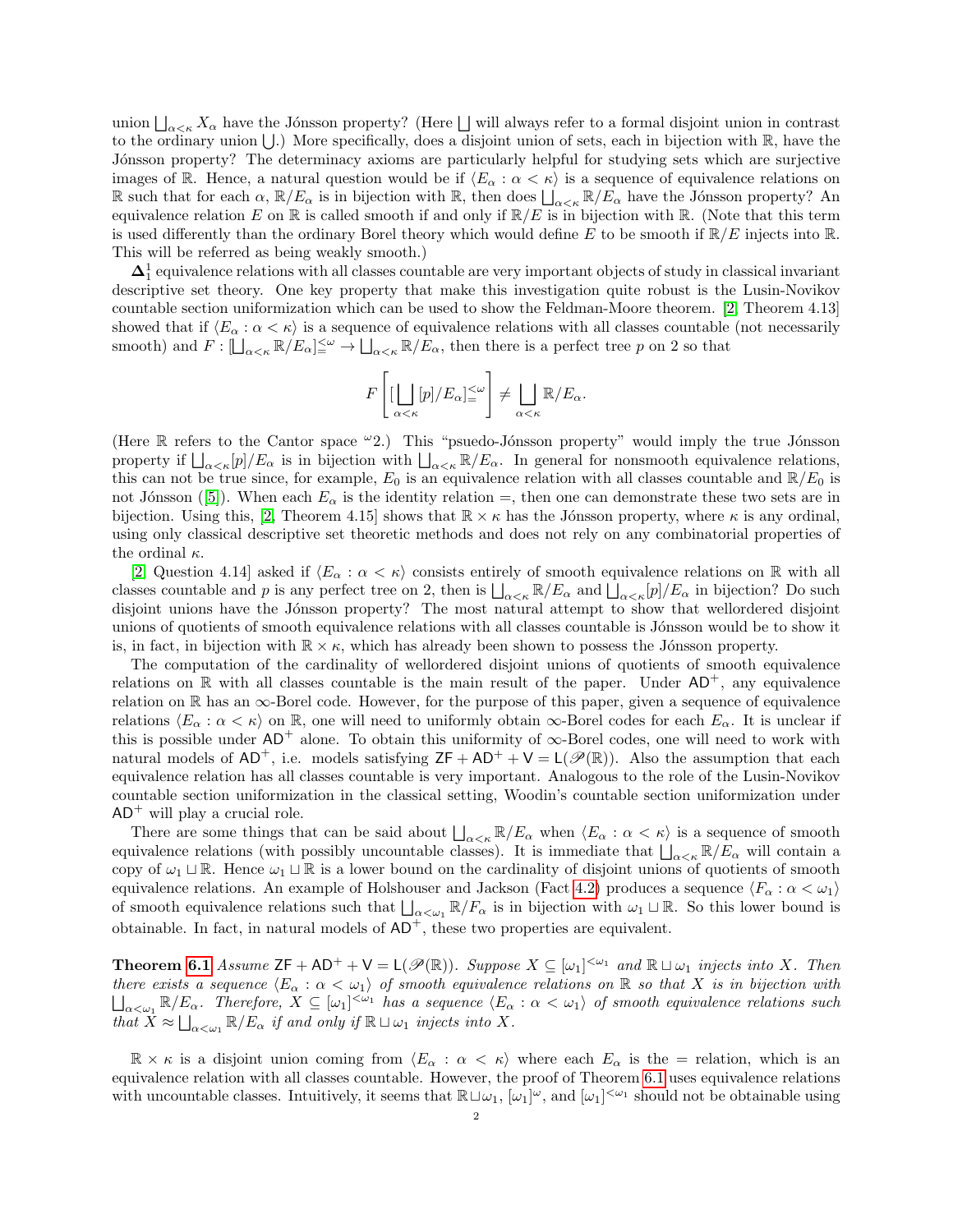union  $\bigsqcup_{\alpha<\kappa} X_{\alpha}$  have the Jónsson property? (Here  $\bigsqcup$  will always refer to a formal disjoint union in contrast to the ordinary union  $\bigcup$ .) More specifically, does a disjoint union of sets, each in bijection with R, have the Jónsson property? The determinacy axioms are particularly helpful for studying sets which are surjective images of R. Hence, a natural question would be if  $\langle E_\alpha : \alpha < \kappa \rangle$  is a sequence of equivalence relations on R such that for each  $\alpha$ ,  $\mathbb{R}/E_{\alpha}$  is in bijection with R, then does  $\iint_{\alpha<\kappa} \mathbb{R}/E_{\alpha}$  have the Jónsson property? An equivalence relation E on R is called smooth if and only if  $\mathbb{R}/E$  is in bijection with R. (Note that this term is used differently than the ordinary Borel theory which would define E to be smooth if  $\mathbb{R}/E$  injects into  $\mathbb{R}$ . This will be referred as being weakly smooth.)

 $\Delta_1^1$  equivalence relations with all classes countable are very important objects of study in classical invariant descriptive set theory. One key property that make this investigation quite robust is the Lusin-Novikov countable section uniformization which can be used to show the Feldman-Moore theorem. [\[2,](#page-16-3) Theorem 4.13] showed that if  $\langle E_\alpha : \alpha < \kappa \rangle$  is a sequence of equivalence relations with all classes countable (not necessarily smooth) and  $F: [\bigsqcup_{\alpha<\kappa} \mathbb{R}/E_\alpha] \leq^{\omega} \to \bigsqcup_{\alpha<\kappa} \mathbb{R}/E_\alpha$ , then there is a perfect tree p on 2 so that

$$
F\left[ [\bigcup_{\alpha<\kappa} [p]/E_{\alpha}]^{\leq \omega} \right] \neq \bigcup_{\alpha<\kappa} \mathbb{R}/E_{\alpha}.
$$

(Here  $\mathbb R$  refers to the Cantor space  $\omega_2$ .) This "psuedo-Jónsson property" would imply the true Jónsson property if  $\bigcup_{\alpha<\kappa}[p]/E_\alpha$  is in bijection with  $\bigcup_{\alpha<\kappa}\mathbb{R}/E_\alpha$ . In general for nonsmooth equivalence relations, this can not be true since, for example,  $E_0$  is an equivalence relation with all classes countable and  $\mathbb{R}/E_0$  is not Jónsson ([\[5\]](#page-16-2)). When each  $E_\alpha$  is the identity relation =, then one can demonstrate these two sets are in bijection. Using this, [\[2,](#page-16-3) Theorem 4.15] shows that  $\mathbb{R} \times \kappa$  has the Jónsson property, where  $\kappa$  is any ordinal, using only classical descriptive set theoretic methods and does not rely on any combinatorial properties of the ordinal  $\kappa$ .

[\[2,](#page-16-3) Question 4.14] asked if  $\langle E_\alpha : \alpha < \kappa \rangle$  consists entirely of smooth equivalence relations on R with all classes countable and p is any perfect tree on 2, then is  $\bigsqcup_{\alpha<\kappa} \mathbb{R}/E_\alpha$  and  $\bigsqcup_{\alpha<\kappa} [p]/E_\alpha$  in bijection? Do such disjoint unions have the Jónsson property? The most natural attempt to show that wellordered disjoint unions of quotients of smooth equivalence relations with all classes countable is Jónsson would be to show it is, in fact, in bijection with  $\mathbb{R} \times \kappa$ , which has already been shown to possess the Jónsson property.

The computation of the cardinality of wellordered disjoint unions of quotients of smooth equivalence relations on R with all classes countable is the main result of the paper. Under  $AD^+$ , any equivalence relation on  $\mathbb R$  has an  $\infty$ -Borel code. However, for the purpose of this paper, given a sequence of equivalence relations  $\langle E_\alpha : \alpha < \kappa \rangle$  on R, one will need to uniformly obtain  $\infty$ -Borel codes for each  $E_\alpha$ . It is unclear if this is possible under  $AD^+$  alone. To obtain this uniformity of  $\infty$ -Borel codes, one will need to work with natural models of AD<sup>+</sup>, i.e. models satisfying  $ZF + AD^+ + V = L(\mathscr{P}(\mathbb{R}))$ . Also the assumption that each equivalence relation has all classes countable is very important. Analogous to the role of the Lusin-Novikov countable section uniformization in the classical setting, Woodin's countable section uniformization under  $AD^+$  will play a crucial role.

There are some things that can be said about  $\bigsqcup_{\alpha<\kappa}\mathbb{R}/E_\alpha$  when  $\langle E_\alpha:\alpha<\kappa\rangle$  is a sequence of smooth equivalence relations (with possibly uncountable classes). It is immediate that  $\bigcup_{\alpha<\kappa}\mathbb{R}/E_{\alpha}$  will contain a copy of  $\omega_1 \sqcup \mathbb{R}$ . Hence  $\omega_1 \sqcup \mathbb{R}$  is a lower bound on the cardinality of disjoint unions of quotients of smooth equivalence relations. An example of Holshouser and Jackson (Fact [4.2\)](#page-8-0) produces a sequence  $\langle F_\alpha : \alpha < \omega_1 \rangle$ of smooth equivalence relations such that  $\bigsqcup_{\alpha<\omega_1} \mathbb{R}/F_\alpha$  is in bijection with  $\omega_1\sqcup\mathbb{R}$ . So this lower bound is obtainable. In fact, in natural models of  $AD^+$ , these two properties are equivalent.

**Theorem [6.1](#page-12-0)** Assume  $ZF + AD^+ + V = L(\mathcal{P}(\mathbb{R}))$ . Suppose  $X \subseteq [\omega_1]^{<\omega_1}$  and  $\mathbb{R} \sqcup \omega_1$  injects into X. Then there exists a sequence  $\langle E_\alpha : \alpha < \omega_1 \rangle$  of smooth equivalence relations on R so that X is in bijection with  $\bigsqcup_{\alpha<\omega_1}\mathbb{R}/E_\alpha$ . Therefore,  $X\subseteq[\omega_1]^{<\omega_1}$  has a sequence  $\langle E_\alpha:\alpha<\omega_1\rangle$  of smooth equivalence relations such that  $X \approx \bigsqcup_{\alpha < \omega_1} \mathbb{R}/E_\alpha$  if and only if  $\mathbb{R} \sqcup \omega_1$  injects into X.

 $\mathbb{R} \times \kappa$  is a disjoint union coming from  $\langle E_\alpha : \alpha < \kappa \rangle$  where each  $E_\alpha$  is the = relation, which is an equivalence relation with all classes countable. However, the proof of Theorem [6.1](#page-12-0) uses equivalence relations with uncountable classes. Intuitively, it seems that  $\mathbb{R} \sqcup \omega_1$ ,  $[\omega_1]^\omega$ , and  $[\omega_1]^{<\omega_1}$  should not be obtainable using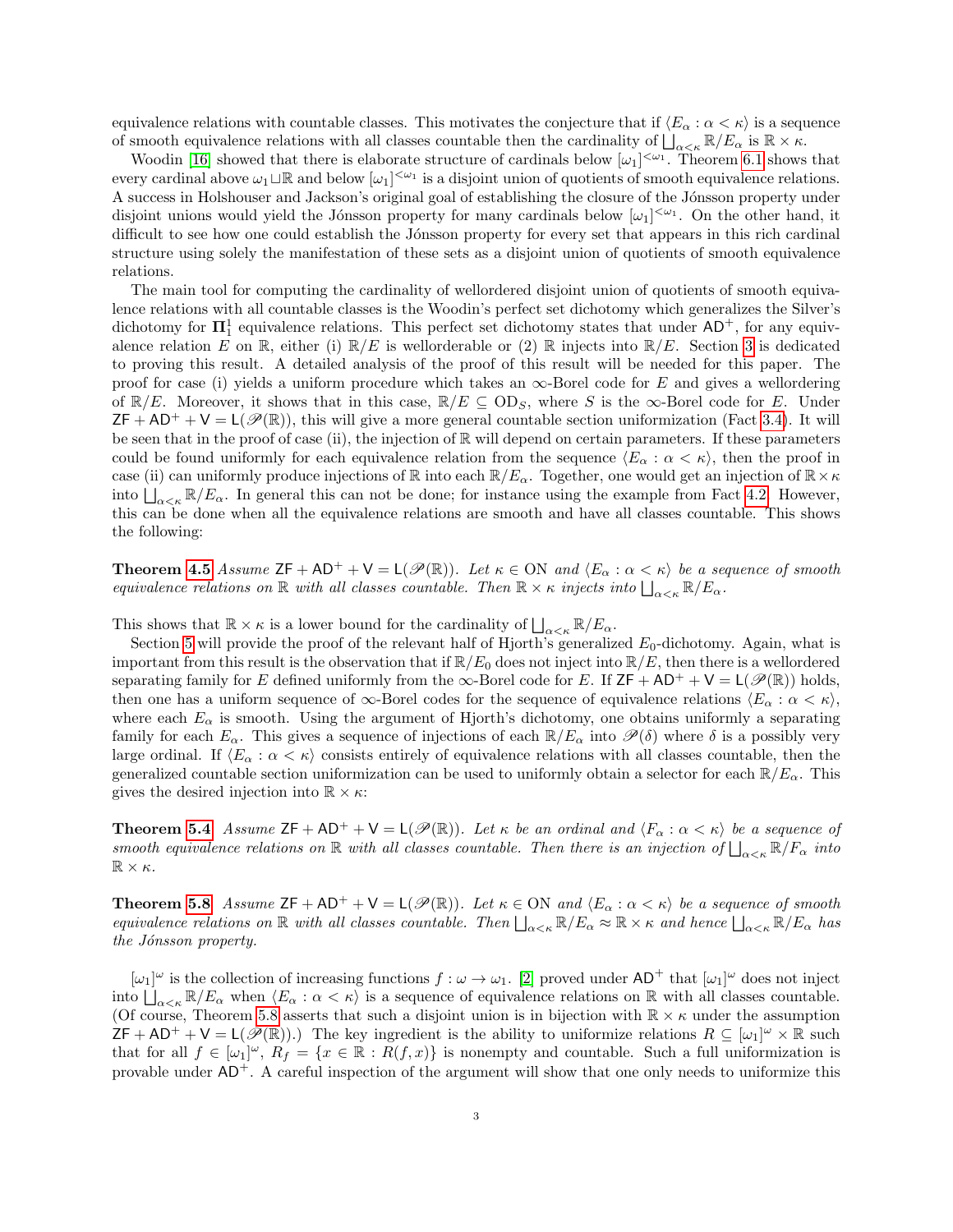equivalence relations with countable classes. This motivates the conjecture that if  $\langle E_\alpha : \alpha < \kappa \rangle$  is a sequence of smooth equivalence relations with all classes countable then the cardinality of  $\bigcup_{\alpha<\kappa}\mathbb{R}/E_\alpha$  is  $\mathbb{R}\times\kappa$ .

Woodin [\[16\]](#page-17-1) showed that there is elaborate structure of cardinals below  $[\omega_1]^{<\omega_1}$ . Theorem [6.1](#page-12-0) shows that every cardinal above  $\omega_1 \sqcup \mathbb{R}$  and below  $[\omega_1]^{<\omega_1}$  is a disjoint union of quotients of smooth equivalence relations. A success in Holshouser and Jackson's original goal of establishing the closure of the Jónsson property under disjoint unions would yield the Jónsson property for many cardinals below  $[\omega_1]^{<\omega_1}$ . On the other hand, it difficult to see how one could establish the Jónsson property for every set that appears in this rich cardinal structure using solely the manifestation of these sets as a disjoint union of quotients of smooth equivalence relations.

The main tool for computing the cardinality of wellordered disjoint union of quotients of smooth equivalence relations with all countable classes is the Woodin's perfect set dichotomy which generalizes the Silver's dichotomy for  $\Pi_1^1$  equivalence relations. This perfect set dichotomy states that under  $AD^+$ , for any equivalence relation E on R, either (i)  $\mathbb{R}/E$  is wellorderable or (2) R injects into  $\mathbb{R}/E$ . Section [3](#page-4-0) is dedicated to proving this result. A detailed analysis of the proof of this result will be needed for this paper. The proof for case (i) yields a uniform procedure which takes an  $\infty$ -Borel code for E and gives a wellordering of  $\mathbb{R}/E$ . Moreover, it shows that in this case,  $\mathbb{R}/E \subseteq OD_S$ , where S is the  $\infty$ -Borel code for E. Under  $ZF + AD^+ + V = L(\mathscr{P}(\mathbb{R}))$ , this will give a more general countable section uniformization (Fact [3.4\)](#page-7-0). It will be seen that in the proof of case (ii), the injection of  $\mathbb R$  will depend on certain parameters. If these parameters could be found uniformly for each equivalence relation from the sequence  $\langle E_\alpha : \alpha < \kappa \rangle$ , then the proof in case (ii) can uniformly produce injections of  $\mathbb R$  into each  $\mathbb R/E_\alpha$ . Together, one would get an injection of  $\mathbb R\times\kappa$ into  $\iint_{\alpha<\kappa} \mathbb{R}/E_{\alpha}$ . In general this can not be done; for instance using the example from Fact [4.2.](#page-8-0) However, this can be done when all the equivalence relations are smooth and have all classes countable. This shows the following:

**Theorem [4.5](#page-9-0)** Assume  $ZF + AD^+ + V = L(\mathcal{P}(\mathbb{R}))$ . Let  $\kappa \in ON$  and  $\langle E_\alpha : \alpha < \kappa \rangle$  be a sequence of smooth equivalence relations on  $\mathbb R$  with all classes countable. Then  $\mathbb R\times\kappa$  injects into  $\bigsqcup_{\alpha<\kappa}\mathbb R/E_\alpha$ .

This shows that  $\mathbb{R} \times \kappa$  is a lower bound for the cardinality of  $\bigsqcup_{\alpha < \kappa} \mathbb{R}/E_{\alpha}$ .

Section [5](#page-10-0) will provide the proof of the relevant half of Hjorth's generalized  $E_0$ -dichotomy. Again, what is important from this result is the observation that if  $\mathbb{R}/E_0$  does not inject into  $\mathbb{R}/E$ , then there is a wellordered separating family for E defined uniformly from the  $\infty$ -Borel code for E. If ZF + AD<sup>+</sup> + V = L( $\mathscr{P}(\mathbb{R})$ ) holds, then one has a uniform sequence of  $\infty$ -Borel codes for the sequence of equivalence relations  $\langle E_{\alpha} : \alpha < \kappa \rangle$ , where each  $E_{\alpha}$  is smooth. Using the argument of Hjorth's dichotomy, one obtains uniformly a separating family for each  $E_\alpha$ . This gives a sequence of injections of each  $\mathbb{R}/E_\alpha$  into  $\mathscr{P}(\delta)$  where  $\delta$  is a possibly very large ordinal. If  $\langle E_\alpha : \alpha < \kappa \rangle$  consists entirely of equivalence relations with all classes countable, then the generalized countable section uniformization can be used to uniformly obtain a selector for each  $\mathbb{R}/E_\alpha$ . This gives the desired injection into  $\mathbb{R} \times \kappa$ :

**Theorem [5.4](#page-11-0)** Assume  $ZF + AD^+ + V = L(\mathcal{P}(\mathbb{R}))$ . Let  $\kappa$  be an ordinal and  $\langle F_\alpha : \alpha < \kappa \rangle$  be a sequence of smooth equivalence relations on  $\mathbb R$  with all classes countable. Then there is an injection of  $\bigcup_{\alpha<\kappa} \mathbb R/F_\alpha$  into  $\mathbb{R}\times\kappa$ .

**Theorem [5.8](#page-11-1)** Assume  $ZF + AD^+ + V = L(\mathcal{P}(\mathbb{R}))$ . Let  $\kappa \in ON$  and  $\langle E_\alpha : \alpha < \kappa \rangle$  be a sequence of smooth equivalence relations on  $\mathbb R$  with all classes countable. Then  $\bigsqcup_{\alpha<\kappa} \mathbb R/E_\alpha \approx \mathbb R\times\kappa$  and hence  $\bigsqcup_{\alpha<\kappa} \mathbb R/E_\alpha$  has the Jónsson property.

 $[\omega_1]^\omega$  is the collection of increasing functions  $f : \omega \to \omega_1$ . [\[2\]](#page-16-3) proved under  $AD^+$  that  $[\omega_1]^\omega$  does not inject into  $\bigcup_{\alpha<\kappa}\mathbb{R}/E_\alpha$  when  $\langle E_\alpha:\alpha<\kappa\rangle$  is a sequence of equivalence relations on R with all classes countable. (Of course, Theorem [5.8](#page-11-1) asserts that such a disjoint union is in bijection with  $\mathbb{R} \times \kappa$  under the assumption  $\mathsf{ZF} + \mathsf{AD^+} + \mathsf{V} = \mathsf{L}(\mathscr{P}(\mathbb{R}))$ .) The key ingredient is the ability to uniformize relations  $R \subseteq [\omega_1]^{\omega} \times \mathbb{R}$  such that for all  $f \in [\omega_1]^{\omega}$ ,  $R_f = \{x \in \mathbb{R} : R(f,x)\}\$ is nonempty and countable. Such a full uniformization is provable under  $AD^+$ . A careful inspection of the argument will show that one only needs to uniformize this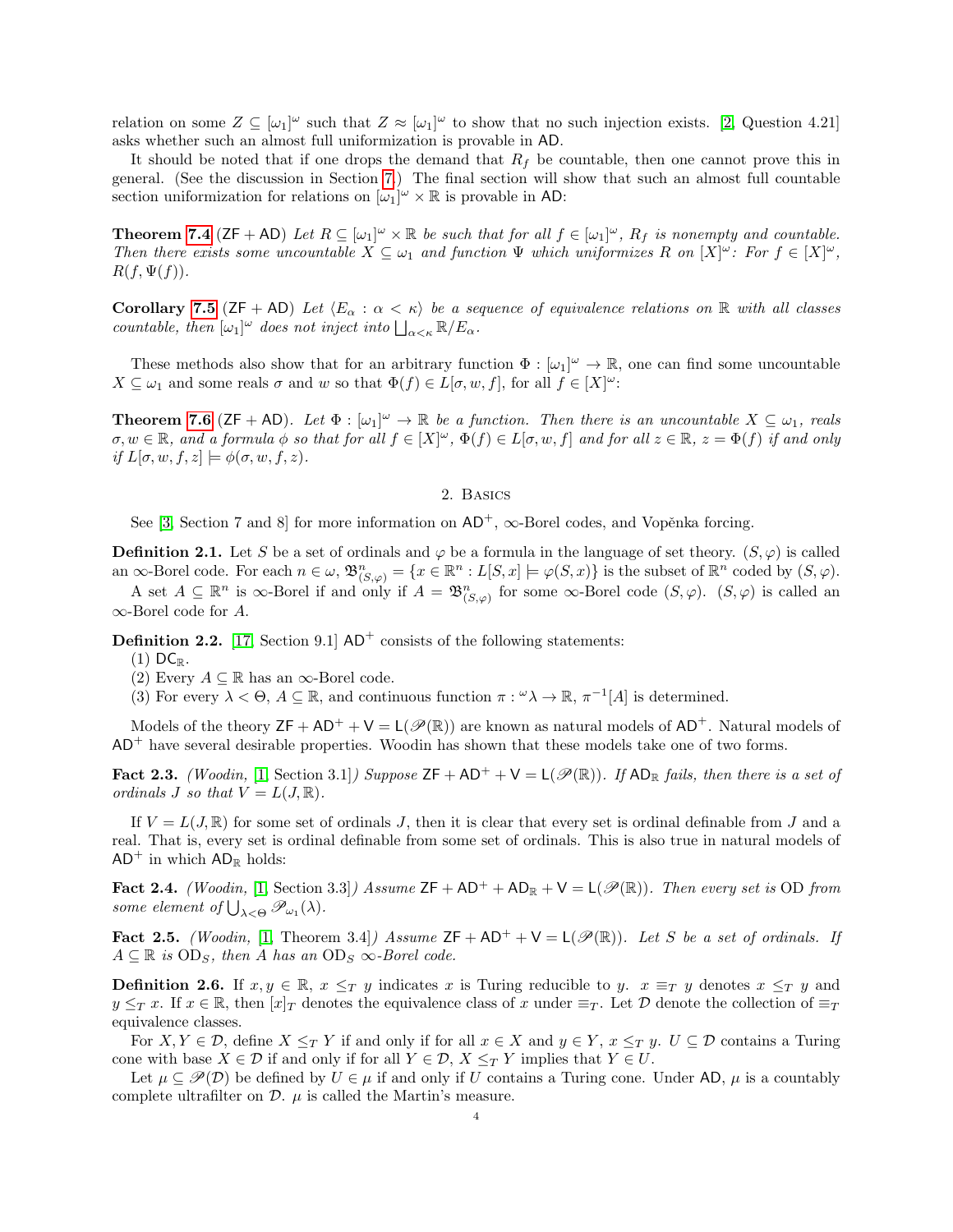relation on some  $Z \subseteq [\omega_1]^\omega$  such that  $Z \approx [\omega_1]^\omega$  to show that no such injection exists. [\[2,](#page-16-3) Question 4.21] asks whether such an almost full uniformization is provable in AD.

It should be noted that if one drops the demand that  $R_f$  be countable, then one cannot prove this in general. (See the discussion in Section [7.](#page-13-0)) The final section will show that such an almost full countable section uniformization for relations on  $[\omega_1]^{\omega} \times \mathbb{R}$  is provable in AD:

**Theorem [7.4](#page-14-0)** ( $ZF + AD$ ) Let  $R \subseteq [\omega_1]^{\omega} \times \mathbb{R}$  be such that for all  $f \in [\omega_1]^{\omega}$ ,  $R_f$  is nonempty and countable. Then there exists some uncountable  $X \subseteq \omega_1$  and function  $\Psi$  which uniformizes R on  $[X]^\omega$ : For  $f \in [X]^\omega$ ,  $R(f,\Psi(f)).$ 

Corollary [7.5](#page-16-4) ( $ZF$  + AD) Let  $\langle E_\alpha : \alpha < \kappa \rangle$  be a sequence of equivalence relations on R with all classes countable, then  $[\omega_1]^\omega$  does not inject into  $\bigsqcup_{\alpha<\kappa} \mathbb{R}/E_\alpha$ .

These methods also show that for an arbitrary function  $\Phi : [\omega_1]^\omega \to \mathbb{R}$ , one can find some uncountable  $X \subseteq \omega_1$  and some reals  $\sigma$  and w so that  $\Phi(f) \in L[\sigma, w, f]$ , for all  $f \in [X]^\omega$ :

**Theorem [7.6](#page-16-5)** ( $ZF + AD$ ). Let  $\Phi : [\omega_1]^{\omega} \to \mathbb{R}$  be a function. Then there is an uncountable  $X \subseteq \omega_1$ , reals  $\sigma, w \in \mathbb{R}$ , and a formula  $\phi$  so that for all  $f \in [X]^{\omega}$ ,  $\Phi(f) \in L[\sigma, w, f]$  and for all  $z \in \mathbb{R}$ ,  $z = \Phi(f)$  if and only if  $L[\sigma, w, f, z] \models \phi(\sigma, w, f, z)$ .

## 2. Basics

See [\[3,](#page-16-6) Section 7 and 8] for more information on  $AD^+$ ,  $\infty$ -Borel codes, and Vopěnka forcing.

**Definition 2.1.** Let S be a set of ordinals and  $\varphi$  be a formula in the language of set theory.  $(S, \varphi)$  is called an  $\infty$ -Borel code. For each  $n \in \omega$ ,  $\mathfrak{B}_{(S,\varphi)}^n = \{x \in \mathbb{R}^n : L[S,x] \models \varphi(S,x)\}\$ is the subset of  $\mathbb{R}^n$  coded by  $(S,\varphi)$ . A set  $A \subseteq \mathbb{R}^n$  is  $\infty$ -Borel if and only if  $A = \mathfrak{B}^n_{(S,\varphi)}$  for some  $\infty$ -Borel code  $(S,\varphi)$ .  $(S,\varphi)$  is called an ∞-Borel code for A.

**Definition 2.2.** [\[17,](#page-17-2) Section 9.1]  $AD^+$  consists of the following statements:

- $(1)$  DC<sub>R</sub>.
- (2) Every  $A \subseteq \mathbb{R}$  has an  $\infty$ -Borel code.
- (3) For every  $\lambda < \Theta$ ,  $A \subseteq \mathbb{R}$ , and continuous function  $\pi : \omega_{\lambda} \to \mathbb{R}$ ,  $\pi^{-1}[A]$  is determined.

Models of the theory  $\mathsf{ZF} + \mathsf{AD}^+ + \mathsf{V} = \mathsf{L}(\mathscr{P}(\mathbb{R}))$  are known as natural models of  $\mathsf{AD}^+$ . Natural models of  $AD<sup>+</sup>$  have several desirable properties. Woodin has shown that these models take one of two forms.

<span id="page-3-1"></span>Fact 2.3. (Woodin, [\[1,](#page-16-7) Section 3.1]) Suppose  $\mathsf{ZF} + \mathsf{AD}^+ + \mathsf{V} = \mathsf{L}(\mathscr{P}(\mathbb{R}))$ . If  $\mathsf{AD}_{\mathbb{R}}$  fails, then there is a set of ordinals J so that  $V = L(J, \mathbb{R})$ .

If  $V = L(J, \mathbb{R})$  for some set of ordinals J, then it is clear that every set is ordinal definable from J and a real. That is, every set is ordinal definable from some set of ordinals. This is also true in natural models of  $AD^+$  in which  $AD_{\mathbb{R}}$  holds:

<span id="page-3-2"></span>Fact 2.4. (Woodin, [\[1,](#page-16-7) Section 3.3]) Assume  $ZF + AD^+ + AD_R + V = L(\mathcal{P}(\mathbb{R}))$ . Then every set is OD from some element of  $\bigcup_{\lambda < \Theta} \mathscr{P}_{\omega_1}(\lambda)$ .

<span id="page-3-0"></span>Fact 2.5. (Woodin, [\[1,](#page-16-7) Theorem 3.4]) Assume  $ZF + AD^+ + V = L(\mathscr{P}(\mathbb{R}))$ . Let S be a set of ordinals. If  $A \subseteq \mathbb{R}$  is  $OD_S$ , then A has an  $OD_S \infty$ -Borel code.

**Definition 2.6.** If  $x, y \in \mathbb{R}$ ,  $x \leq_T y$  indicates x is Turing reducible to y.  $x \equiv_T y$  denotes  $x \leq_T y$  and  $y \leq_T x$ . If  $x \in \mathbb{R}$ , then  $[x]_T$  denotes the equivalence class of x under  $\equiv_T$ . Let D denote the collection of  $\equiv_T$ equivalence classes.

For  $X, Y \in \mathcal{D}$ , define  $X \leq_T Y$  if and only if for all  $x \in X$  and  $y \in Y$ ,  $x \leq_T y$ .  $U \subseteq \mathcal{D}$  contains a Turing cone with base  $X \in \mathcal{D}$  if and only if for all  $Y \in \mathcal{D}$ ,  $X \leq_T Y$  implies that  $Y \in U$ .

Let  $\mu \subseteq \mathcal{P}(\mathcal{D})$  be defined by  $U \in \mu$  if and only if U contains a Turing cone. Under AD,  $\mu$  is a countably complete ultrafilter on  $\mathcal{D}$ .  $\mu$  is called the Martin's measure.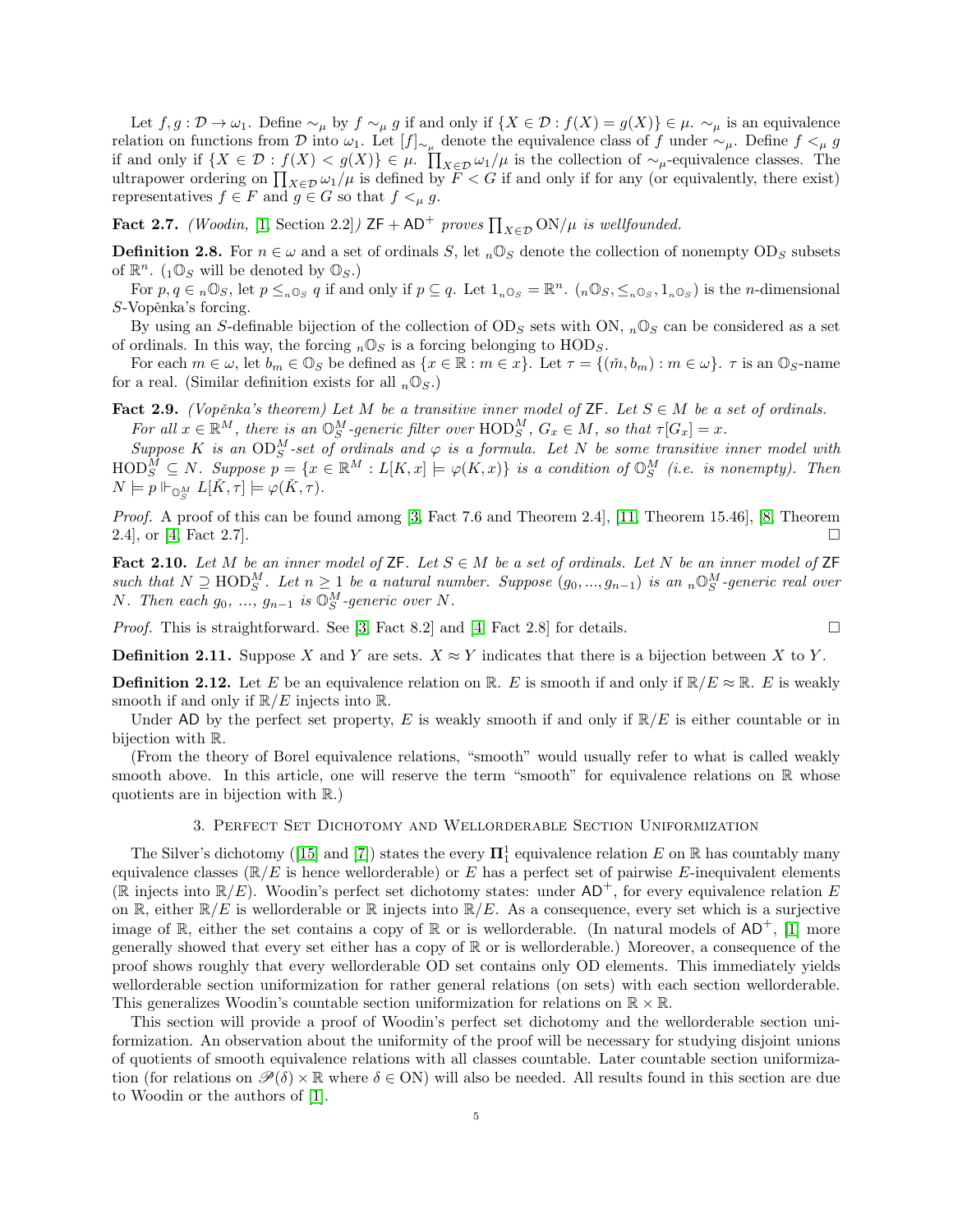Let  $f, g: \mathcal{D} \to \omega_1$ . Define  $\sim_\mu$  by  $f \sim_\mu g$  if and only if  $\{X \in \mathcal{D} : f(X) = g(X)\} \in \mu$ .  $\sim_\mu$  is an equivalence relation on functions from D into  $\omega_1$ . Let  $[f]_{\sim_\mu}$  denote the equivalence class of f under  $\sim_\mu$ . Define  $f \lt_\mu g$ if and only if  $\{X \in \mathcal{D} : f(X) < g(X)\} \in \mu$ .  $\prod_{X \in \mathcal{D}} \omega_1/\mu$  is the collection of  $\sim_{\mu}$ -equivalence classes. The ultrapower ordering on  $\prod_{X\in\mathcal{D}}\omega_1/\mu$  is defined by  $F < G$  if and only if for any (or equivalently, there exist) representatives  $f \in F$  and  $g \in G$  so that  $f \leq_{\mu} g$ .

<span id="page-4-1"></span>**Fact 2.7.** (Woodin, [\[1,](#page-16-7) Section 2.2])  $ZF + AD^+$  proves  $\prod_{X \in \mathcal{D}} ON/\mu$  is wellfounded.

**Definition 2.8.** For  $n \in \omega$  and a set of ordinals S, let  $n\mathbb{O}_S$  denote the collection of nonempty OD<sub>S</sub> subsets of  $\mathbb{R}^n$ . (1 $\mathbb{O}_S$  will be denoted by  $\mathbb{O}_S$ .)

For  $p, q \in n \mathbb{O}_S$ , let  $p \leq_{n} \mathbb{O}_S q$  if and only if  $p \subseteq q$ . Let  $1_{n} \mathbb{O}_S = \mathbb{R}^n$ .  $(n \mathbb{O}_S, \leq_{n} \mathbb{O}_S, 1_{n} \mathbb{O}_S)$  is the *n*-dimensional  $S$ -Vopěnka's forcing.

By using an S-definable bijection of the collection of  $OD_S$  sets with ON,  $_n\mathbb{O}_S$  can be considered as a set of ordinals. In this way, the forcing  $_n \mathbb{O}_S$  is a forcing belonging to  $HOD_S$ .

For each  $m \in \omega$ , let  $b_m \in \mathbb{O}_S$  be defined as  $\{x \in \mathbb{R} : m \in x\}$ . Let  $\tau = \{(\check{m}, b_m) : m \in \omega\}$ .  $\tau$  is an  $\mathbb{O}_S$ -name for a real. (Similar definition exists for all  $_n \mathbb{O}_S$ .)

<span id="page-4-2"></span>Fact 2.9. (Vopěnka's theorem) Let M be a transitive inner model of ZF. Let  $S \in M$  be a set of ordinals. For all  $x \in \mathbb{R}^M$ , there is an  $\mathbb{O}_{S}^M$ -generic filter over  $\text{HOD}_{S}^M$ ,  $G_x \in M$ , so that  $\tau[G_x] = x$ .

Suppose K is an  $OD^M_S$ -set of ordinals and  $\varphi$  is a formula. Let N be some transitive inner model with  $\text{HOD}_S^M \subseteq N$ . Suppose  $p = \{x \in \mathbb{R}^M : L[K, x] \models \varphi(K, x)\}$  is a condition of  $\mathbb{O}_S^M$  (i.e. is nonempty). Then  $N \models p \Vdash_{\mathbb{O}_{S}^{M}} L[\check{K}, \tau] \models \varphi(\check{K}, \tau).$ 

Proof. A proof of this can be found among [\[3,](#page-16-6) Fact 7.6 and Theorem 2.4], [\[11,](#page-16-8) Theorem 15.46], [\[8,](#page-16-9) Theorem 2.4], or [\[4,](#page-16-10) Fact 2.7].

<span id="page-4-3"></span>Fact 2.10. Let M be an inner model of  $\mathsf{ZF}$ . Let  $S \in M$  be a set of ordinals. Let N be an inner model of  $\mathsf{ZF}$ such that  $N \supseteq \text{HOD}_S^M$ . Let  $n \geq 1$  be a natural number. Suppose  $(g_0, ..., g_{n-1})$  is an  ${}_n \mathbb{O}_S^M$ -generic real over N. Then each  $g_0, \ldots, g_{n-1}$  is  $\mathbb{O}_{S}^{M}$ -generic over N.

*Proof.* This is straightforward. See [\[3,](#page-16-6) Fact 8.2] and [\[4,](#page-16-10) Fact 2.8] for details.

**Definition 2.11.** Suppose X and Y are sets. 
$$
X \approx Y
$$
 indicates that there is a bijection between X to Y.

<span id="page-4-4"></span>**Definition 2.12.** Let E be an equivalence relation on R. E is smooth if and only if  $\mathbb{R}/E \approx \mathbb{R}$ . E is weakly smooth if and only if  $\mathbb{R}/E$  injects into  $\mathbb{R}$ .

Under AD by the perfect set property, E is weakly smooth if and only if  $\mathbb{R}/E$  is either countable or in bijection with R.

(From the theory of Borel equivalence relations, "smooth" would usually refer to what is called weakly smooth above. In this article, one will reserve the term "smooth" for equivalence relations on  $\mathbb R$  whose quotients are in bijection with R.)

#### 3. Perfect Set Dichotomy and Wellorderable Section Uniformization

<span id="page-4-0"></span>The Silver's dichotomy ([\[15\]](#page-17-3) and [\[7\]](#page-16-11)) states the every  $\mathbf{\Pi}^1_1$  equivalence relation E on R has countably many equivalence classes  $(\mathbb{R}/E)$  is hence wellorderable) or E has a perfect set of pairwise E-inequivalent elements (R injects into  $\mathbb{R}/E$ ). Woodin's perfect set dichotomy states: under  $AD^+$ , for every equivalence relation E on R, either  $\mathbb{R}/E$  is wellorderable or R injects into  $\mathbb{R}/E$ . As a consequence, every set which is a surjective image of  $\mathbb R$ , either the set contains a copy of  $\mathbb R$  or is wellorderable. (In natural models of AD<sup>+</sup>, [\[1\]](#page-16-7) more generally showed that every set either has a copy of  $\mathbb R$  or is wellorderable.) Moreover, a consequence of the proof shows roughly that every wellorderable OD set contains only OD elements. This immediately yields wellorderable section uniformization for rather general relations (on sets) with each section wellorderable. This generalizes Woodin's countable section uniformization for relations on  $\mathbb{R} \times \mathbb{R}$ .

This section will provide a proof of Woodin's perfect set dichotomy and the wellorderable section uniformization. An observation about the uniformity of the proof will be necessary for studying disjoint unions of quotients of smooth equivalence relations with all classes countable. Later countable section uniformization (for relations on  $\mathcal{P}(\delta) \times \mathbb{R}$  where  $\delta \in ON$ ) will also be needed. All results found in this section are due to Woodin or the authors of [\[1\]](#page-16-7).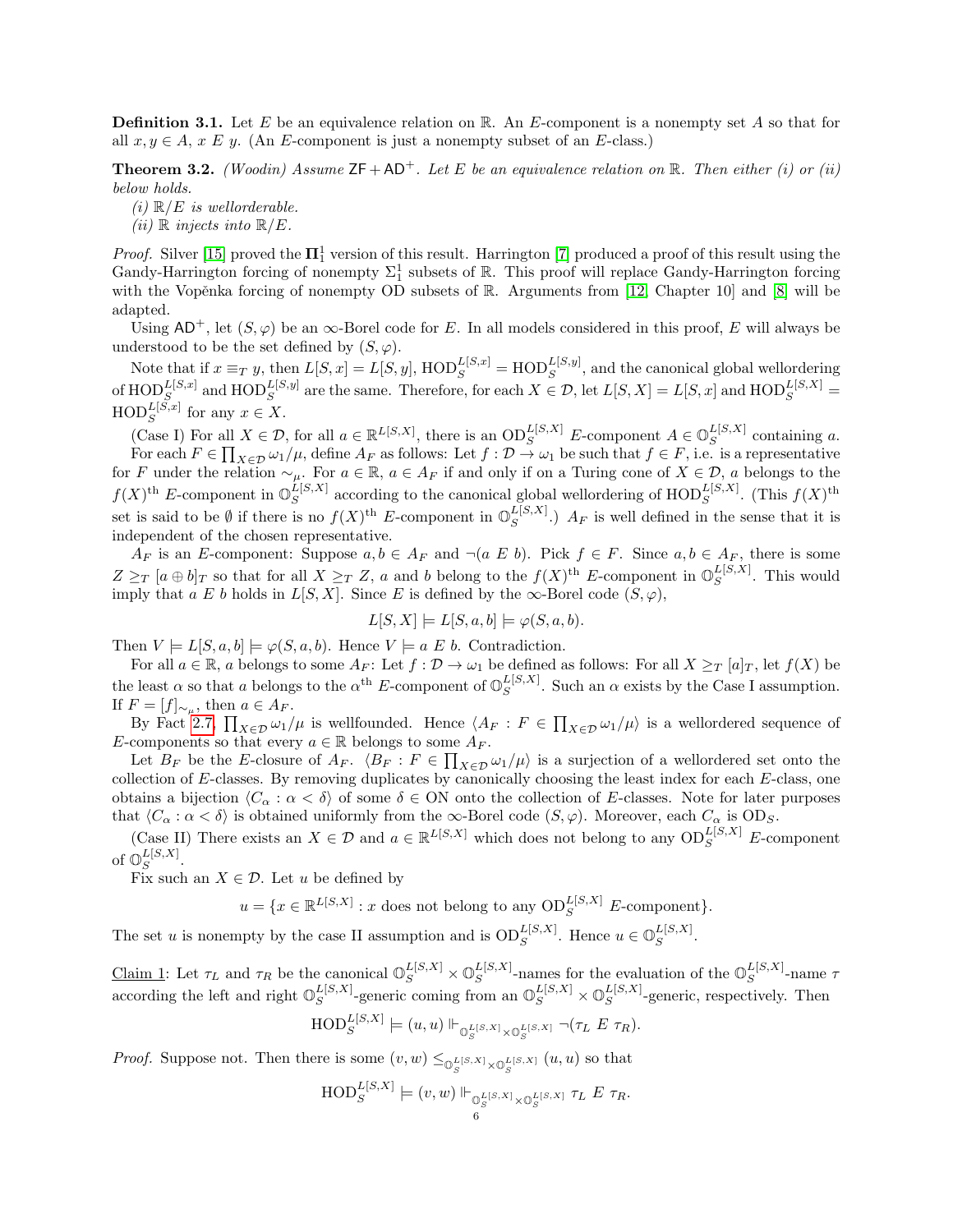**Definition 3.1.** Let E be an equivalence relation on  $\mathbb{R}$ . An E-component is a nonempty set A so that for all  $x, y \in A$ ,  $x \in y$ . (An E-component is just a nonempty subset of an E-class.)

<span id="page-5-0"></span>**Theorem 3.2.** (Woodin) Assume  $\mathsf{ZF} + \mathsf{AD}^+$ . Let E be an equivalence relation on R. Then either (i) or (ii) below holds.

 $(i) \mathbb{R}/E$  is wellorderable.

(*ii*)  $\mathbb R$  *injects into*  $\mathbb R/E$ .

*Proof.* Silver [\[15\]](#page-17-3) proved the  $\mathbf{\Pi}^1_1$  version of this result. Harrington [\[7\]](#page-16-11) produced a proof of this result using the Gandy-Harrington forcing of nonempty  $\Sigma_1^1$  subsets of  $\mathbb R$ . This proof will replace Gandy-Harrington forcing with the Vopěnka forcing of nonempty OD subsets of  $\mathbb{R}$ . Arguments from [\[12,](#page-17-4) Chapter 10] and [\[8\]](#page-16-9) will be adapted.

Using  $AD^+$ , let  $(S, \varphi)$  be an  $\infty$ -Borel code for E. In all models considered in this proof, E will always be understood to be the set defined by  $(S, \varphi)$ .

Note that if  $x \equiv_T y$ , then  $L[S, x] = L[S, y]$ ,  $HOD_S^{L[S, x]} = HOD_S^{L[S, y]}$ , and the canonical global wellordering of  $\text{HOD}_S^{L[S,x]}$  and  $\text{HOD}_S^{L[S,y]}$  are the same. Therefore, for each  $X \in \mathcal{D}$ , let  $L[S,X] = L[S,x]$  and  $\text{HOD}_S^{L[S,X]}$  $\text{HOD}_S^{L[S,x]}$  for any  $x \in X$ .

(Case I) For all  $X \in \mathcal{D}$ , for all  $a \in \mathbb{R}^{L[S,X]}$ , there is an  $OD_S^{L[S,X]}$  E-component  $A \in \mathbb{O}_S^{L[S,X]}$  $S^{L[\beta,\Lambda]}$  containing a. For each  $F \in \prod_{X \in \mathcal{D}} \omega_1/\mu$ , define  $A_F$  as follows: Let  $f: \mathcal{D} \to \omega_1$  be such that  $f \in F$ , i.e. is a representative for F under the relation  $\sim_\mu$ . For  $a \in \mathbb{R}$ ,  $a \in A_F$  if and only if on a Turing cone of  $X \in \mathcal{D}$ , a belongs to the  $f(X)$ <sup>th</sup> E-component in  $\mathbb{O}_S^{L[S,X]}$  $_{S}^{L[S,X]}$  according to the canonical global wellordering of  $\mathrm{HOD}_{S}^{L[S,X]}$ . (This  $f(X)$ <sup>th</sup> set is said to be  $\emptyset$  if there is no  $f(X)$ <sup>th</sup> E-component in  $\mathbb{O}_S^{L[S,X]}$  $S^{L[3,A]}$ .)  $A_F$  is well defined in the sense that it is independent of the chosen representative.

 $A_F$  is an E-component: Suppose  $a, b \in A_F$  and  $\neg(a \ E \ b)$ . Pick  $f \in F$ . Since  $a, b \in A_F$ , there is some  $Z \geq_T [a \oplus b]_T$  so that for all  $X \geq_T Z$ , a and b belong to the  $f(X)$ <sup>th</sup> E-component in  $\mathbb{O}^{L[S,X]}_S$  $S^{L[5,\Lambda]}$ . This would imply that a E b holds in  $L[S, X]$ . Since E is defined by the  $\infty$ -Borel code  $(S, \varphi)$ ,

$$
L[S, X] \models L[S, a, b] \models \varphi(S, a, b).
$$

Then  $V \models L[S, a, b] \models \varphi(S, a, b)$ . Hence  $V \models a \mathcal{E} b$ . Contradiction.

For all  $a \in \mathbb{R}$ , a belongs to some  $A_F$ : Let  $f: \mathcal{D} \to \omega_1$  be defined as follows: For all  $X \geq_T [a]_T$ , let  $f(X)$  be the least  $\alpha$  so that a belongs to the  $\alpha^{\text{th}}$  E-component of  $\mathbb{O}_S^{L[S,X]}$  $_{S}^{L[5,X]}$ . Such an  $\alpha$  exists by the Case I assumption. If  $F = [f]_{\sim_\mu}$ , then  $a \in A_F$ .

By Fact [2.7,](#page-4-1)  $\prod_{X\in\mathcal{D}}\omega_1/\mu$  is wellfounded. Hence  $\langle A_F : F \in \prod_{X\in\mathcal{D}}\omega_1/\mu \rangle$  is a wellordered sequence of E-components so that every  $a \in \mathbb{R}$  belongs to some  $A_F$ .

Let  $B_F$  be the E-closure of  $A_F$ .  $\langle B_F : F \in \prod_{X \in \mathcal{D}} \omega_1/\mu \rangle$  is a surjection of a wellordered set onto the collection of E-classes. By removing duplicates by canonically choosing the least index for each E-class, one obtains a bijection  $\langle C_\alpha : \alpha < \delta \rangle$  of some  $\delta \in \text{ON}$  onto the collection of E-classes. Note for later purposes that  $\langle C_\alpha : \alpha < \delta \rangle$  is obtained uniformly from the  $\infty$ -Borel code  $(S, \varphi)$ . Moreover, each  $C_\alpha$  is OD<sub>S</sub>.

(Case II) There exists an  $X \in \mathcal{D}$  and  $a \in \mathbb{R}^{L[S,X]}$  which does not belong to any  $OD_S^{L[S,X]}$  E-component of  $\mathbb{O}_S^{L[S,X]}$  $S^{L[\mathcal{S},\mathcal{A}]}$ .

Fix such an  $X \in \mathcal{D}$ . Let u be defined by

 $u = \{x \in \mathbb{R}^{L[S,X]} : x \text{ does not belong to any } OD_S^{L[S,X]} \text{ } E\text{-component}\}.$ 

The set u is nonempty by the case II assumption and is  $OD_S^{L[S,X]}$ . Hence  $u \in \mathbb{O}_S^{L[S,X]}$  $S^{L[\mathcal{S},\mathcal{A}]}$ .

Claim 1: Let  $\tau_L$  and  $\tau_R$  be the canonical  $\mathbb{O}_S^{L[S,X]} \times \mathbb{O}_S^{L[S,X]}$  $_{S}^{L[S,X]}$ -names for the evaluation of the  $\mathbb{O}_{S}^{L[S,X]}$  $S^{L[\mathcal{S},\mathcal{A}]}$ -name  $\tau$ according the left and right  $\mathbb{O}_S^{L[S,X]}$  $\mathcal{L}_{S}^{[S,X]}$ -generic coming from an  $\mathbb{O}_{S}^{L[S,X]} \times \mathbb{O}_{S}^{L[S,X]}$  $S^{L[3,\Lambda]}$ -generic, respectively. Then

$$
\mathrm{HOD}_S^{L[S,X]} \models (u, u) \Vdash_{\mathbb{O}_S^{L[S,X]} \times \mathbb{O}_S^{L[S,X]}} \neg (\tau_L \ E \ \tau_R).
$$

*Proof.* Suppose not. Then there is some  $(v, w) \leq_{\mathbb{O}_S^{L[S, X]} \times \mathbb{O}_S^{L[S, X]}} (u, u)$  so that

$$
\mathrm{HOD}_S^{L[S,X]} \models (v,w) \Vdash_{\mathbb{O}_S^{L[S,X]} \times \mathbb{O}_S^{L[S,X]}} \tau_L E \tau_R.
$$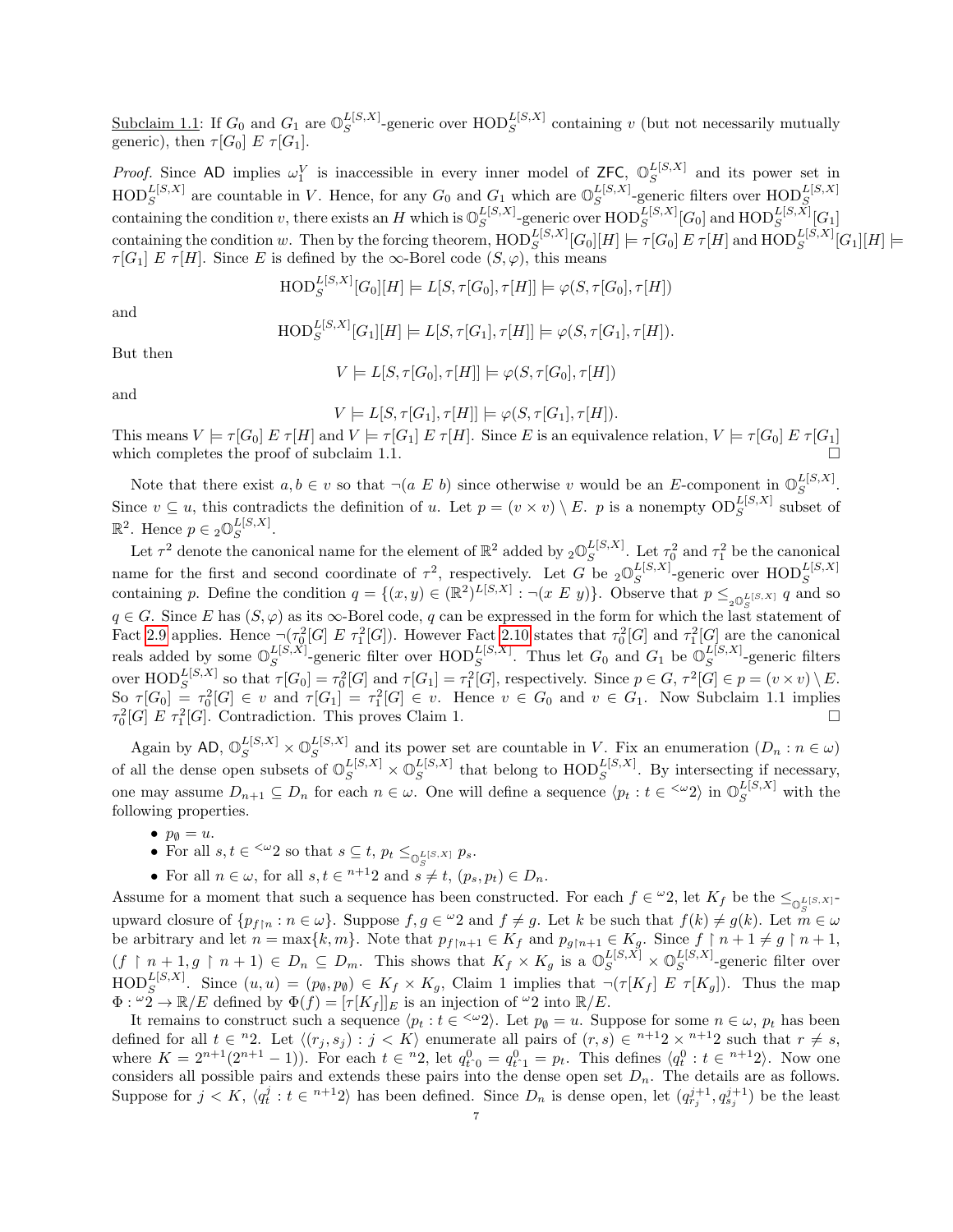Subclaim 1.1: If  $G_0$  and  $G_1$  are  $\mathbb{O}_S^{L[S,X]}$  $\mathbb{E}[S,X]$ -generic over  $\text{HOD}_{S}^{L[S,X]}$  containing v (but not necessarily mutually generic), then  $\tau[G_0]$  E  $\tau[G_1]$ .

*Proof.* Since AD implies  $\omega_1^V$  is inaccessible in every inner model of ZFC,  $\mathbb{O}_S^{L[S,X]}$  $S^{L[8,\lambda]}$  and its power set in  $\text{HOD}_S^{L[S,X]}$  are countable in V. Hence, for any  $G_0$  and  $G_1$  which are  $\mathbb{O}_S^{L[S,X]}$  $_{S}^{L\left[ S,X\right] }\text{-generic filters over } \text{HOD}_{S}^{L\left[ S,X\right] }$ containing the condition v, there exists an H which is  $\mathbb{O}_S^{L[S,X]}$  $\frac{L[S,X]}{S}$ -generic over  $\mathrm{HOD}^{L[S,X]}_S[G_0]$  and  $\mathrm{HOD}^{L[S,X]}_S[G_1]$  $\text{containing the condition } w. \text{ Then by the forcing theorem, } \text{HOD}_S^{L[S,X]}[G_0][H] \models \tau[G_0] \ E \ \tau[H] \text{ and } \text{HOD}_S^{L[S,X]}[G_1][H] \models \text{Hilb}^{L[S,X]}[G_1][H] \models \text{Hilb}^{L[S,X]}[G_1][H] \models \text{Hilb}^{L[S,X]}[G_1][H] \models \text{Hilb}^{L[S,X]}[G_1][H] \models \text{Hilb}^{L[S,X]}[G_1][H] \models \text{Hilb}^{L[S,X]}[G_1][H] \models \text{Hilb}^{L[S,X]}[G$  $\tau[G_1] \mathrel{E} \tau[H]$ . Since E is defined by the  $\infty$ -Borel code  $(S, \varphi)$ , this means

$$
\text{HOD}_S^{L[S,X]}[G_0][H] \models L[S, \tau[G_0], \tau[H]] \models \varphi(S, \tau[G_0], \tau[H])
$$

and

$$
\text{HOD}_S^{L[S,X]}[G_1][H] \models L[S, \tau[G_1], \tau[H]] \models \varphi(S, \tau[G_1], \tau[H]).
$$

and

But then

$$
V \models L[S, \tau[G_0], \tau[H]] \models \varphi(S, \tau[G_0], \tau[H])
$$

 $V = L[S, \tau[G_1], \tau[H]] \models \varphi(S, \tau[G_1], \tau[H]).$ This means  $V \models \tau[G_0] E \tau[H]$  and  $V \models \tau[G_1] E \tau[H]$ . Since E is an equivalence relation,  $V \models \tau[G_0] E \tau[G_1]$ which completes the proof of subclaim 1.1.

Note that there exist  $a, b \in v$  so that  $\neg(a \ E \ b)$  since otherwise v would be an E-component in  $\mathbb{O}^{L[S,X]}_S$  $S^{L[3,\Lambda]}.$ Since  $v \subseteq u$ , this contradicts the definition of u. Let  $p = (v \times v) \setminus E$ . p is a nonempty  $OD_S^{L[S,X]}$  subset of  $\mathbb{R}^2$ . Hence  $p \in {}_2\mathbb{O}_S^{L[S,X]}$  $S^{L[3,\Lambda]}.$ 

Let  $\tau^2$  denote the canonical name for the element of  $\mathbb{R}^2$  added by  ${}_2\mathbb{O}^{L[S,X]}_S$  $\mathcal{L}_{S}^{[S,X]}$ . Let  $\tau_0^2$  and  $\tau_1^2$  be the canonical name for the first and second coordinate of  $\tau^2$ , respectively. Let G be  ${}_2\mathbb{O}^{L[S,X]}_S$ name for the first and second coordinate of  $\tau^2$ , respectively. Let G be  ${}_2\mathbb{O}_S^{L[S,X]}$ -generic over  $\text{HOD}_S^{L[S,X]}$ <br>containing p. Define the condition  $q = \{(x, y) \in (\mathbb{R}^2)^{L[S,X]} : \neg(x \ E \ y)\}$ . Observe that  $p \leq_{{}_2\mathbb{O}_S$  $q \in G$ . Since E has  $(S, \varphi)$  as its  $\infty$ -Borel code, q can be expressed in the form for which the last statement of Fact [2.9](#page-4-2) applies. Hence  $\neg(\tau_0^2[G] \to \tau_1^2[G])$ . However Fact [2.10](#page-4-3) states that  $\tau_0^2[G]$  and  $\tau_1^2[G]$  are the canonical reals added by some  $\mathbb{O}_S^{L[S,X]}$  $S_S^{L[S,X]}$ -generic filter over  $\text{HOD}_S^{L[S,X]}$ . Thus let  $G_0$  and  $G_1$  be  $\mathbb{O}_S^{L[S,X]}$  $S^{L[S, A]}$ -generic filters over  $\text{HOD}_S^{L[S,X]}$  so that  $\tau[G_0] = \tau_0^2[G]$  and  $\tau[G_1] = \tau_1^2[G]$ , respectively. Since  $p \in G$ ,  $\tau^2[G] \in p = (v \times v) \setminus E$ . So  $\tau[G_0] = \tau_0^2[G] \in v$  and  $\tau[G_1] = \tau_1^2[G] \in v$ . Hence  $v \in G_0$  and  $v \in G_1$ . Now Subclaim 1.1 implies  $\tau_0^2[G] \to \tau_1^2[G]$ . Contradiction. This proves Claim 1.

Again by AD,  $\mathbb{O}_S^{L[S,X]} \times \mathbb{O}_S^{L[S,X]}$  $S^{L[5,1]}$  and its power set are countable in V. Fix an enumeration  $(D_n : n \in \omega)$ of all the dense open subsets of  $\mathbb{O}_S^{L[S,X]} \times \mathbb{O}_S^{L[S,X]}$  $_{S}^{L[S,X]}$  that belong to  $\text{HOD}_{S}^{L[S,X]}$ . By intersecting if necessary, one may assume  $D_{n+1} \subseteq D_n$  for each  $n \in \omega$ . One will define a sequence  $\langle p_t : t \in \langle x^2 \rangle$  in  $\mathbb{O}_S^{L[S,X]}$  with the following properties.

- $p_{\emptyset} = u.$
- For all  $s, t \in \langle \omega_2 \rangle$  so that  $s \subseteq t$ ,  $p_t \leq_{\mathbb{Q}_\infty^{L[S,X]}} p_s$ .
- For all  $n \in \omega$ , for all  $s, t \in n+1$  and  $s \neq t$ ,  $(p_s, p_t) \in D_n$ .

Assume for a moment that such a sequence has been constructed. For each  $f \in {}^{\omega}2$ , let  $K_f$  be the  $\leq_{\mathbb{Q}_\alpha^{L}[S,X]}$ upward closure of  $\{p_{f|n} : n \in \omega\}$ . Suppose  $f, g \in {}^{\omega}2$  and  $f \neq g$ . Let k be such that  $f(k) \neq g(k)$ . Let  $m \in \omega$ be arbitrary and let  $n = \max\{k, m\}$ . Note that  $p_{f[n+1]} \in K_f$  and  $p_{g[n+1]} \in K_g$ . Since  $f \restriction n+1 \neq g \restriction n+1$ ,  $(f \restriction n+1, g \restriction n+1) \in D_n \subseteq D_m$ . This shows that  $K_f \times K_g$  is a  $\mathbb{O}_S^{L[S,X]} \times \mathbb{O}_S^{L[S,X]}$  $S^{L[S, A]}$ -generic filter over  $\text{HOD}_S^{L[S,X]}$ . Since  $(u, u) = (p_\emptyset, p_\emptyset) \in K_f \times K_g$ , Claim 1 implies that  $\neg(\tau[K_f] \ E \ \tau[K_g])$ . Thus the map  $\Phi: \omega_2 \to \mathbb{R}/E$  defined by  $\Phi(f) = [\tau[K_f]]_E$  is an injection of  $\omega_2$  into  $\mathbb{R}/E$ .

It remains to construct such a sequence  $\langle p_t : t \in \langle x_2 \rangle$ . Let  $p_{\emptyset} = u$ . Suppose for some  $n \in \omega$ ,  $p_t$  has been defined for all  $t \in {}^{n}2$ . Let  $\langle (r_j , s_j) : j < K \rangle$  enumerate all pairs of  $(r, s) \in {}^{n+1}2 \times {}^{n+1}2$  such that  $r \neq s$ , where  $K = 2^{n+1}(2^{n+1}-1)$ . For each  $t \in {}^{n}2$ , let  $q_{t_0}^0 = q_{t_0}^0 = q_{t_0}^0 = p_t$ . This defines  $\langle q_t^0 : t \in {}^{n+1}2 \rangle$ . Now one considers all possible pairs and extends these pairs into the dense open set  $D_n$ . The details are as follows. Suppose for  $j < K$ ,  $\langle q_t^j : t \in n+12 \rangle$  has been defined. Since  $D_n$  is dense open, let  $(q_{r_j}^{j+1}, q_{s_j}^{j+1})$  be the least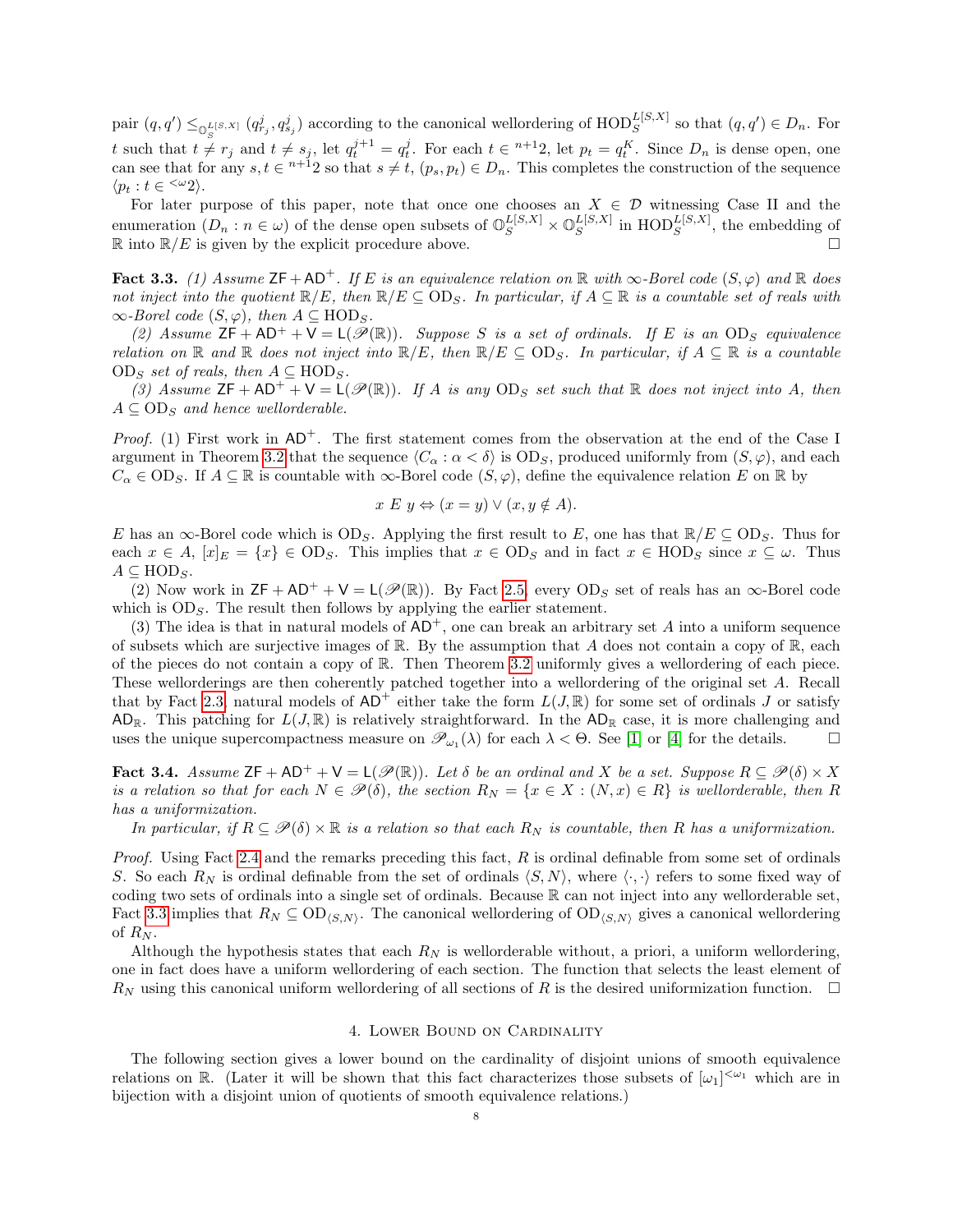pair  $(q, q') \leq_{\mathbb{Q}_c^{L[S,X]}} (q_{r_j}^j, q_{s_j}^j)$  according to the canonical wellordering of  $\text{HOD}_S^{L[S,X]}$  so that  $(q, q') \in D_n$ . For t such that  $t \neq r_j$  and  $t \neq s_j$ , let  $q_t^{j+1} = q_t^j$ . For each  $t \in \infty + 12$ , let  $p_t = q_t^K$ . Since  $D_n$  is dense open, one can see that for any  $s, t \in n+1$  so that  $s \neq t$ ,  $(p_s, p_t) \in D_n$ . This completes the construction of the sequence  $\langle p_t : t \in \langle \omega_2 \rangle$ .

For later purpose of this paper, note that once one chooses an  $X \in \mathcal{D}$  witnessing Case II and the enumeration  $(D_n : n \in \omega)$  of the dense open subsets of  $\mathbb{O}_S^{L[S,X]} \times \mathbb{O}_S^{L[S,X]}$  $_{S}^{L[S,X]}$  in  $\text{HOD}_{S}^{L[S,X]}$ , the embedding of  $\mathbb{R}$  into  $\mathbb{R}/E$  is given by the explicit procedure above.

<span id="page-7-1"></span>Fact 3.3. (1) Assume  $\mathsf{ZF} + \mathsf{AD}^+$ . If E is an equivalence relation on R with  $\infty$ -Borel code  $(S, \varphi)$  and R does not inject into the quotient  $\mathbb{R}/E$ , then  $\mathbb{R}/E \subseteq OD_S$ . In particular, if  $A \subseteq \mathbb{R}$  is a countable set of reals with  $\infty$ -Borel code  $(S, \varphi)$ , then  $A \subseteq \text{HOD}_S$ .

(2) Assume  $\mathsf{ZF} + \mathsf{AD^+} + \mathsf{V} = \mathsf{L}(\mathscr{P}(\mathbb{R}))$ . Suppose S is a set of ordinals. If E is an OD<sub>S</sub> equivalence relation on R and R does not inject into  $\mathbb{R}/E$ , then  $\mathbb{R}/E \subseteq OD_S$ . In particular, if  $A \subseteq \mathbb{R}$  is a countable  $OD<sub>S</sub>$  set of reals, then  $A \subseteq \text{HOD}<sub>S</sub>$ .

(3) Assume  $\mathsf{ZF} + \mathsf{AD}^+ + \mathsf{V} = \mathsf{L}(\mathscr{P}(\mathbb{R}))$ . If A is any  $\mathsf{OD}_S$  set such that  $\mathbb R$  does not inject into A, then  $A \subseteq OD_s$  and hence wellorderable.

*Proof.* (1) First work in  $AD^+$ . The first statement comes from the observation at the end of the Case I argument in Theorem [3.2](#page-5-0) that the sequence  $\langle C_{\alpha} : \alpha < \delta \rangle$  is OD<sub>S</sub>, produced uniformly from  $(S, \varphi)$ , and each  $C_{\alpha} \in OD_S$ . If  $A \subseteq \mathbb{R}$  is countable with  $\infty$ -Borel code  $(S, \varphi)$ , define the equivalence relation E on R by

$$
x E y \Leftrightarrow (x = y) \lor (x, y \notin A).
$$

E has an  $\infty$ -Borel code which is OD<sub>S</sub>. Applying the first result to E, one has that  $\mathbb{R}/E \subseteq \text{OD}_S$ . Thus for each  $x \in A$ ,  $[x]_E = \{x\} \in OD_S$ . This implies that  $x \in OD_S$  and in fact  $x \in HOD_S$  since  $x \subseteq \omega$ . Thus  $A \subseteq \text{HOD}_S$ .

(2) Now work in  $\mathsf{ZF} + \mathsf{AD}^+ + \mathsf{V} = \mathsf{L}(\mathscr{P}(\mathbb{R}))$ . By Fact [2.5,](#page-3-0) every  $\text{OD}_S$  set of reals has an  $\infty$ -Borel code which is  $OD_S$ . The result then follows by applying the earlier statement.

(3) The idea is that in natural models of  $AD^+$ , one can break an arbitrary set A into a uniform sequence of subsets which are surjective images of R. By the assumption that A does not contain a copy of R, each of the pieces do not contain a copy of R. Then Theorem [3.2](#page-5-0) uniformly gives a wellordering of each piece. These wellorderings are then coherently patched together into a wellordering of the original set A. Recall that by Fact [2.3,](#page-3-1) natural models of  $AD^+$  either take the form  $L(J, \mathbb{R})$  for some set of ordinals J or satisfy AD<sub>R</sub>. This patching for  $L(J, \mathbb{R})$  is relatively straightforward. In the AD<sub>R</sub> case, it is more challenging and uses the unique supercompactness measure on  $\mathscr{P}_{\omega_1}(\lambda)$  for each  $\lambda < \Theta$ . See [\[1\]](#page-16-7) or [\[4\]](#page-16-10) for the details.

<span id="page-7-0"></span>**Fact 3.4.** Assume  $\mathsf{ZF} + \mathsf{AD^+} + \mathsf{V} = \mathsf{L}(\mathscr{P}(\mathbb{R}))$ . Let  $\delta$  be an ordinal and X be a set. Suppose  $R \subseteq \mathscr{P}(\delta) \times X$ is a relation so that for each  $N \in \mathcal{P}(\delta)$ , the section  $R_N = \{x \in X : (N, x) \in R\}$  is wellorderable, then R has a uniformization.

In particular, if  $R \subseteq \mathcal{P}(\delta) \times \mathbb{R}$  is a relation so that each  $R_N$  is countable, then R has a uniformization.

Proof. Using Fact [2.4](#page-3-2) and the remarks preceding this fact,  $R$  is ordinal definable from some set of ordinals S. So each  $R_N$  is ordinal definable from the set of ordinals  $\langle S, N \rangle$ , where  $\langle \cdot, \cdot \rangle$  refers to some fixed way of coding two sets of ordinals into a single set of ordinals. Because R can not inject into any wellorderable set, Fact [3.3](#page-7-1) implies that  $R_N \subseteq OD_{\langle S,N \rangle}$ . The canonical wellordering of  $OD_{\langle S,N \rangle}$  gives a canonical wellordering of  $R_N$ .

Although the hypothesis states that each  $R_N$  is wellorderable without, a priori, a uniform wellordering, one in fact does have a uniform wellordering of each section. The function that selects the least element of  $R_N$  using this canonical uniform wellordering of all sections of R is the desired uniformization function.  $\Box$ 

### 4. Lower Bound on Cardinality

The following section gives a lower bound on the cardinality of disjoint unions of smooth equivalence relations on R. (Later it will be shown that this fact characterizes those subsets of  $[\omega_1]^{<\omega_1}$  which are in bijection with a disjoint union of quotients of smooth equivalence relations.)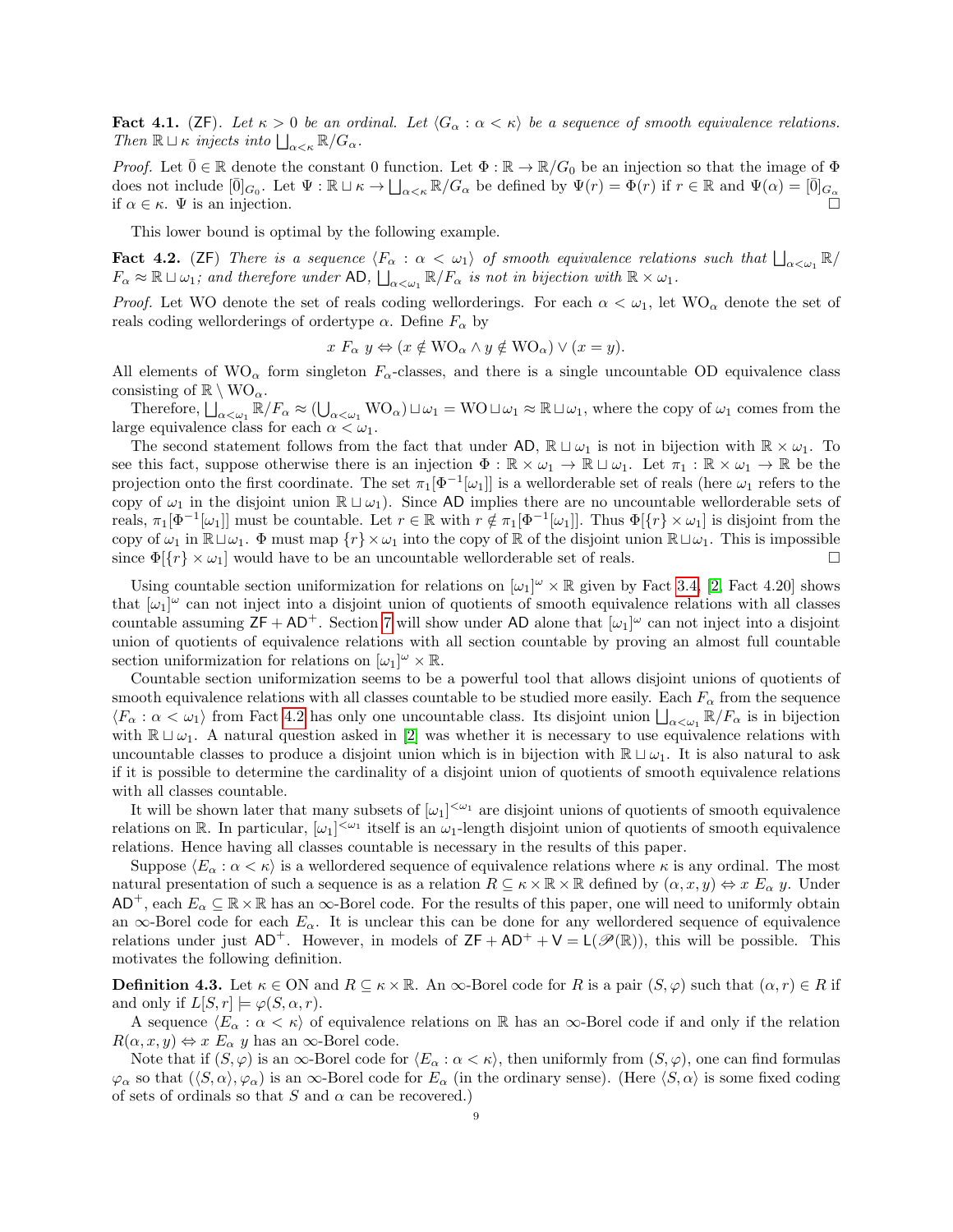<span id="page-8-2"></span>Fact 4.1. (ZF). Let  $\kappa > 0$  be an ordinal. Let  $\langle G_\alpha : \alpha < \kappa \rangle$  be a sequence of smooth equivalence relations. Then  $\mathbb{R} \sqcup \kappa$  injects into  $\bigsqcup_{\alpha<\kappa} \mathbb{R}/G_\alpha$ .

*Proof.* Let  $\bar{0} \in \mathbb{R}$  denote the constant 0 function. Let  $\Phi : \mathbb{R} \to \mathbb{R}/G_0$  be an injection so that the image of  $\Phi$ does not include  $[\bar{0}]_{G_0}$ . Let  $\Psi : \mathbb{R} \sqcup \kappa \to \bigsqcup_{\alpha < \kappa} \mathbb{R}/G_\alpha$  be defined by  $\Psi(r) = \bar{\Phi}(r)$  if  $r \in \mathbb{R}$  and  $\Psi(\alpha) = [\bar{0}]_{G_\alpha}$ if  $\alpha \in \kappa$ .  $\Psi$  is an injection.

This lower bound is optimal by the following example.

<span id="page-8-0"></span>**Fact 4.2.** (ZF) There is a sequence  $\langle F_\alpha : \alpha < \omega_1 \rangle$  of smooth equivalence relations such that  $\bigsqcup_{\alpha < \omega_1} \mathbb{R}/\mathbb{R}$  $F_{\alpha} \approx \mathbb{R} \sqcup \omega_1$ ; and therefore under AD,  $\bigsqcup_{\alpha < \omega_1} \mathbb{R}/F_{\alpha}$  is not in bijection with  $\mathbb{R} \times \omega_1$ .

*Proof.* Let WO denote the set of reals coding wellorderings. For each  $\alpha < \omega_1$ , let  $WO_\alpha$  denote the set of reals coding wellorderings of ordertype  $\alpha$ . Define  $F_{\alpha}$  by

$$
x F_{\alpha} y \Leftrightarrow (x \notin \text{WO}_{\alpha} \land y \notin \text{WO}_{\alpha}) \lor (x = y).
$$

All elements of  $WO_{\alpha}$  form singleton  $F_{\alpha}$ -classes, and there is a single uncountable OD equivalence class consisting of  $\mathbb{R} \setminus \text{WO}_{\alpha}$ .

Therefore,  $\bigsqcup_{\alpha<\omega_1}\mathbb{R}/F_\alpha\approx(\bigcup_{\alpha<\omega_1}WO_\alpha)\sqcup\omega_1=WO\sqcup\omega_1\approx\mathbb{R}\sqcup\omega_1$ , where the copy of  $\omega_1$  comes from the large equivalence class for each  $\alpha < \omega_1$ .

The second statement follows from the fact that under AD,  $\mathbb{R} \sqcup \omega_1$  is not in bijection with  $\mathbb{R} \times \omega_1$ . To see this fact, suppose otherwise there is an injection  $\Phi : \mathbb{R} \times \omega_1 \to \mathbb{R} \sqcup \omega_1$ . Let  $\pi_1 : \mathbb{R} \times \omega_1 \to \mathbb{R}$  be the projection onto the first coordinate. The set  $\pi_1[\Phi^{-1}[\omega_1]]$  is a wellorderable set of reals (here  $\omega_1$  refers to the copy of  $\omega_1$  in the disjoint union  $\mathbb{R} \sqcup \omega_1$ . Since AD implies there are no uncountable wellorderable sets of reals,  $\pi_1[\Phi^{-1}[\omega_1]]$  must be countable. Let  $r \in \mathbb{R}$  with  $r \notin \pi_1[\Phi^{-1}[\omega_1]]$ . Thus  $\Phi[\{r\} \times \omega_1]$  is disjoint from the copy of  $\omega_1$  in  $\mathbb{R} \sqcup \omega_1$ .  $\Phi$  must map  $\{r\} \times \omega_1$  into the copy of  $\mathbb{R}$  of the disjoint union  $\mathbb{R} \sqcup \omega_1$ . This is impossible since  $\Phi[f_r] \times \omega_1$  would have to be an uncountable wellorderable set of reals.

Using countable section uniformization for relations on  $[\omega_1]^\omega \times \mathbb{R}$  given by Fact [3.4,](#page-7-0) [\[2,](#page-16-3) Fact 4.20] shows that  $[\omega_1]^\omega$  can not inject into a disjoint union of quotients of smooth equivalence relations with all classes countable assuming  $ZF + AD^+$ . Section [7](#page-13-0) will show under AD alone that  $[\omega_1]^\omega$  can not inject into a disjoint union of quotients of equivalence relations with all section countable by proving an almost full countable section uniformization for relations on  $[\omega_1]^\omega \times \mathbb{R}$ .

Countable section uniformization seems to be a powerful tool that allows disjoint unions of quotients of smooth equivalence relations with all classes countable to be studied more easily. Each  $F_{\alpha}$  from the sequence  $\langle F_\alpha : \alpha < \omega_1 \rangle$  from Fact [4.2](#page-8-0) has only one uncountable class. Its disjoint union  $\bigsqcup_{\alpha < \omega_1} \mathbb{R}/F_\alpha$  is in bijection with  $\mathbb{R} \sqcup \omega_1$ . A natural question asked in [\[2\]](#page-16-3) was whether it is necessary to use equivalence relations with uncountable classes to produce a disjoint union which is in bijection with  $\mathbb{R} \sqcup \omega_1$ . It is also natural to ask if it is possible to determine the cardinality of a disjoint union of quotients of smooth equivalence relations with all classes countable.

It will be shown later that many subsets of  $[\omega_1]^{<\omega_1}$  are disjoint unions of quotients of smooth equivalence relations on R. In particular,  $[\omega_1]^{<\omega_1}$  itself is an  $\omega_1$ -length disjoint union of quotients of smooth equivalence relations. Hence having all classes countable is necessary in the results of this paper.

Suppose  $\langle E_\alpha : \alpha < \kappa \rangle$  is a wellordered sequence of equivalence relations where  $\kappa$  is any ordinal. The most natural presentation of such a sequence is as a relation  $R \subseteq \kappa \times \mathbb{R} \times \mathbb{R}$  defined by  $(\alpha, x, y) \Leftrightarrow x \to_\alpha y$ . Under  $AD^+$ , each  $E_\alpha \subseteq \mathbb{R} \times \mathbb{R}$  has an  $\infty$ -Borel code. For the results of this paper, one will need to uniformly obtain an  $\infty$ -Borel code for each  $E_{\alpha}$ . It is unclear this can be done for any wellordered sequence of equivalence relations under just  $AD^+$ . However, in models of  $ZF + AD^+ + V = L(\mathcal{P}(\mathbb{R}))$ , this will be possible. This motivates the following definition.

<span id="page-8-1"></span>**Definition 4.3.** Let  $\kappa \in \text{ON}$  and  $R \subseteq \kappa \times \mathbb{R}$ . An  $\infty$ -Borel code for R is a pair  $(S, \varphi)$  such that  $(\alpha, r) \in R$  if and only if  $L[S, r] \models \varphi(S, \alpha, r)$ .

A sequence  $\langle E_\alpha : \alpha < \kappa \rangle$  of equivalence relations on R has an  $\infty$ -Borel code if and only if the relation  $R(\alpha, x, y) \Leftrightarrow x \mathbb{E}_{\alpha} y$  has an  $\infty$ -Borel code.

Note that if  $(S, \varphi)$  is an  $\infty$ -Borel code for  $\langle E_\alpha : \alpha < \kappa \rangle$ , then uniformly from  $(S, \varphi)$ , one can find formulas  $\varphi_{\alpha}$  so that  $(\langle S, \alpha \rangle, \varphi_{\alpha})$  is an  $\infty$ -Borel code for  $E_{\alpha}$  (in the ordinary sense). (Here  $\langle S, \alpha \rangle$  is some fixed coding of sets of ordinals so that  $S$  and  $\alpha$  can be recovered.)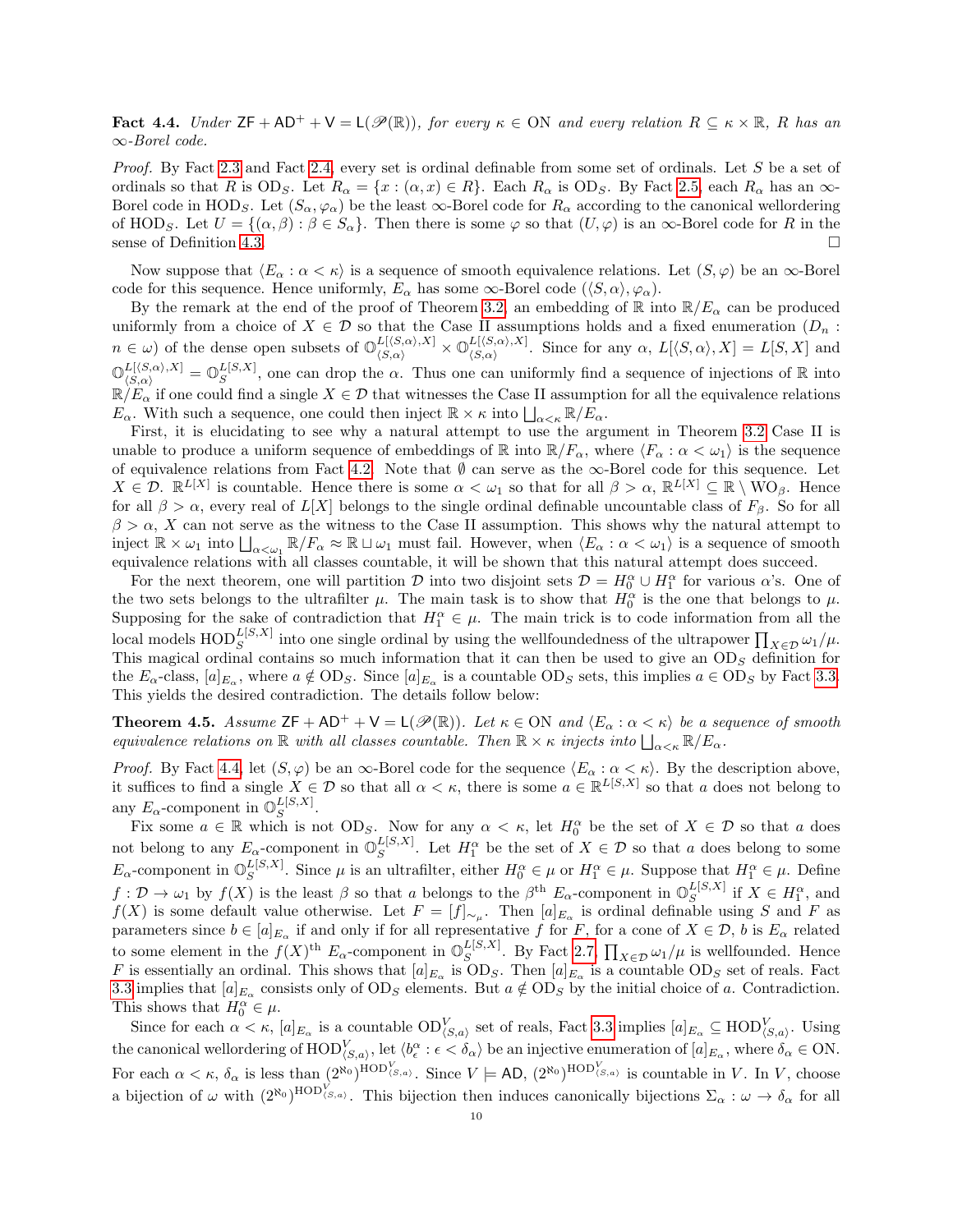<span id="page-9-1"></span>**Fact 4.4.** Under  $\mathsf{ZF} + \mathsf{AD}^+ + \mathsf{V} = \mathsf{L}(\mathscr{P}(\mathbb{R}))$ , for every  $\kappa \in \mathsf{ON}$  and every relation  $R \subseteq \kappa \times \mathbb{R}$ , R has an ∞-Borel code.

Proof. By Fact [2.3](#page-3-1) and Fact [2.4,](#page-3-2) every set is ordinal definable from some set of ordinals. Let S be a set of ordinals so that R is OD<sub>S</sub>. Let  $R_{\alpha} = \{x : (\alpha, x) \in R\}$ . Each  $R_{\alpha}$  is OD<sub>S</sub>. By Fact [2.5,](#page-3-0) each  $R_{\alpha}$  has an  $\infty$ -Borel code in HOD<sub>S</sub>. Let  $(S_\alpha, \varphi_\alpha)$  be the least  $\infty$ -Borel code for  $R_\alpha$  according to the canonical wellordering of HOD<sub>S</sub>. Let  $U = \{(\alpha, \beta) : \beta \in S_\alpha\}$ . Then there is some  $\varphi$  so that  $(U, \varphi)$  is an  $\infty$ -Borel code for R in the sense of Definition [4.3.](#page-8-1)

Now suppose that  $\langle E_\alpha : \alpha < \kappa \rangle$  is a sequence of smooth equivalence relations. Let  $(S, \varphi)$  be an  $\infty$ -Borel code for this sequence. Hence uniformly,  $E_{\alpha}$  has some  $\infty$ -Borel code  $(\langle S, \alpha \rangle, \varphi_{\alpha})$ .

By the remark at the end of the proof of Theorem [3.2,](#page-5-0) an embedding of  $\mathbb R$  into  $\mathbb R/E_\alpha$  can be produced uniformly from a choice of  $X \in \mathcal{D}$  so that the Case II assumptions holds and a fixed enumeration  $(D_n :$  $n \in \omega$ ) of the dense open subsets of  $\mathbb{O}_{\langle S,\alpha \rangle}^{L[\langle S,\alpha \rangle,X]} \times \mathbb{O}_{\langle S,\alpha \rangle}^{L[\langle S,\alpha \rangle,X]}$  $L(\mathcal{S}, \alpha), \mathcal{A}$ . Since for any  $\alpha$ ,  $L[\langle S, \alpha \rangle, X] = L[S, X]$  and  $\mathbb{O}_{\langle S,\alpha\rangle}^{L[\langle S,\alpha\rangle,X]}=\mathbb{O}_S^{L[S,X]}$  $\mathbb{E}[S,X]$ , one can drop the  $\alpha$ . Thus one can uniformly find a sequence of injections of  $\mathbb R$  into  $\mathbb{R}/E_{\alpha}$  if one could find a single  $X \in \mathcal{D}$  that witnesses the Case II assumption for all the equivalence relations  $E_{\alpha}$ . With such a sequence, one could then inject  $\mathbb{R} \times \kappa$  into  $\bigsqcup_{\alpha < \kappa} \mathbb{R}/E_{\alpha}$ .

First, it is elucidating to see why a natural attempt to use the argument in Theorem [3.2](#page-5-0) Case II is unable to produce a uniform sequence of embeddings of R into  $\mathbb{R}/F_{\alpha}$ , where  $\langle F_{\alpha} : \alpha < \omega_1 \rangle$  is the sequence of equivalence relations from Fact [4.2.](#page-8-0) Note that  $\emptyset$  can serve as the ∞-Borel code for this sequence. Let  $X \in \mathcal{D}$ .  $\mathbb{R}^{L[X]}$  is countable. Hence there is some  $\alpha < \omega_1$  so that for all  $\beta > \alpha$ ,  $\mathbb{R}^{L[X]} \subseteq \mathbb{R} \setminus WO_{\beta}$ . Hence for all  $\beta > \alpha$ , every real of  $L[X]$  belongs to the single ordinal definable uncountable class of  $F_\beta$ . So for all  $\beta > \alpha$ , X can not serve as the witness to the Case II assumption. This shows why the natural attempt to inject  $\mathbb{R} \times \omega_1$  into  $\bigsqcup_{\alpha < \omega_1} \mathbb{R}/F_\alpha \approx \mathbb{R} \sqcup \omega_1$  must fail. However, when  $\langle E_\alpha : \alpha < \omega_1 \rangle$  is a sequence of smooth equivalence relations with all classes countable, it will be shown that this natural attempt does succeed.

For the next theorem, one will partition  $\mathcal D$  into two disjoint sets  $\mathcal D = H_0^{\alpha} \cup H_1^{\alpha}$  for various  $\alpha$ 's. One of the two sets belongs to the ultrafilter  $\mu$ . The main task is to show that  $H_0^{\alpha}$  is the one that belongs to  $\mu$ . Supposing for the sake of contradiction that  $H_1^{\alpha} \in \mu$ . The main trick is to code information from all the local models  $\text{HOD}_S^{L[S,X]}$  into one single ordinal by using the wellfoundedness of the ultrapower  $\prod_{X\in\mathcal{D}}\omega_1/\mu$ . This magical ordinal contains so much information that it can then be used to give an  $OD<sub>S</sub>$  definition for the  $E_{\alpha}$ -class,  $[a]_{E_{\alpha}}$ , where  $a \notin OD_S$ . Since  $[a]_{E_{\alpha}}$  is a countable  $OD_S$  sets, this implies  $a \in OD_S$  by Fact [3.3.](#page-7-1) This yields the desired contradiction. The details follow below:

<span id="page-9-0"></span>**Theorem 4.5.** Assume  $ZF + AD^+ + V = L(\mathcal{P}(\mathbb{R}))$ . Let  $\kappa \in ON$  and  $\langle E_\alpha : \alpha < \kappa \rangle$  be a sequence of smooth equivalence relations on  $\mathbb R$  with all classes countable. Then  $\mathbb R\times\kappa$  injects into  $\bigsqcup_{\alpha<\kappa}\mathbb R/E_\alpha$ .

*Proof.* By Fact [4.4,](#page-9-1) let  $(S, \varphi)$  be an  $\infty$ -Borel code for the sequence  $\langle E_{\alpha} : \alpha < \kappa \rangle$ . By the description above, it suffices to find a single  $X \in \mathcal{D}$  so that all  $\alpha < \kappa$ , there is some  $a \in \mathbb{R}^{L[S,X]}$  so that a does not belong to any  $E_{\alpha}$ -component in  $\mathbb{O}_S^{L[S,X]}$  $S^{L[3,\Lambda]}.$ 

Fix some  $a \in \mathbb{R}$  which is not  $OD_S$ . Now for any  $\alpha < \kappa$ , let  $H_0^{\alpha}$  be the set of  $X \in \mathcal{D}$  so that a does not belong to any  $E_{\alpha}$ -component in  $\mathbb{O}_S^{L[S,X]}$ . Let  $H_1^{\alpha}$  be the set of  $X \in \mathcal{D}$  so that a does belong to some  $E_{\alpha}$ -component in  $\mathbb{O}_{S}^{L[S,X]}$ . Since μ is an  $L[S,X]$ . Since  $\mu$  is an ultrafilter, either  $H_0^{\alpha} \in \mu$  or  $H_1^{\alpha} \in \mu$ . Suppose that  $H_1^{\alpha} \in \mu$ . Define  $f: \mathcal{D} \to \omega_1$  by  $f(X)$  is the least  $\beta$  so that a belongs to the  $\beta^{th}$   $E_\alpha$ -component in  $\mathbb{O}_S^{L[S,X]}$  if  $X \in H_1^{\alpha}$ , and  $f(X)$  is some default value otherwise. Let  $F = [f]_{\sim \mu}$ . Then  $[a]_{E_{\alpha}}$  is ordinal definable using S and F as parameters since  $b \in [a]_{E_\alpha}$  if and only if for all representative f for F, for a cone of  $X \in \mathcal{D}$ , b is  $E_\alpha$  related to some element in the  $f(X)$ <sup>th</sup>  $E_{\alpha}$ -component in  $\mathbb{O}_S^{L[S,X]}$  $\mathbb{E}_S^{[S,A]}$ . By Fact [2.7,](#page-4-1)  $\prod_{X \in \mathcal{D}} \omega_1 / \mu$  is wellfounded. Hence F is essentially an ordinal. This shows that  $[a]_{E_{\alpha}}$  is  $OD_S$ . Then  $[a]_{E_{\alpha}}$  is a countable  $OD_S$  set of reals. Fact [3.3](#page-7-1) implies that  $[a]_{E_\alpha}$  consists only of  $OD_S$  elements. But  $a \notin OD_S$  by the initial choice of a. Contradiction. This shows that  $H_0^{\alpha} \in \mu$ .

Since for each  $\alpha < \kappa$ ,  $[a]_{E_{\alpha}}$  is a countable  $OD_{\langle S,a \rangle}^V$  set of reals, Fact [3.3](#page-7-1) implies  $[a]_{E_{\alpha}} \subseteq \text{HOD}_{\langle S,a \rangle}^V$ . Using the canonical wellordering of  $\text{HOD}_{\langle S,a \rangle}^V$ , let  $\langle b_{\epsilon}^{\alpha} : \epsilon < \delta_{\alpha} \rangle$  be an injective enumeration of  $[a]_{E_{\alpha}}$ , where  $\delta_{\alpha} \in \text{ON}$ . For each  $\alpha < \kappa$ ,  $\delta_{\alpha}$  is less than  $(2^{\aleph_0})^{\text{HOD}_{\langle S,a\rangle}}$ . Since  $V \models \text{AD}, (2^{\aleph_0})^{\text{HOD}_{\langle S,a\rangle}}$  is countable in V. In V, choose a bijection of  $\omega$  with  $(2^{\aleph_0})^{\text{HOD}_{\langle S,a\rangle}}$ . This bijection then induces canonically bijections  $\Sigma_\alpha : \omega \to \delta_\alpha$  for all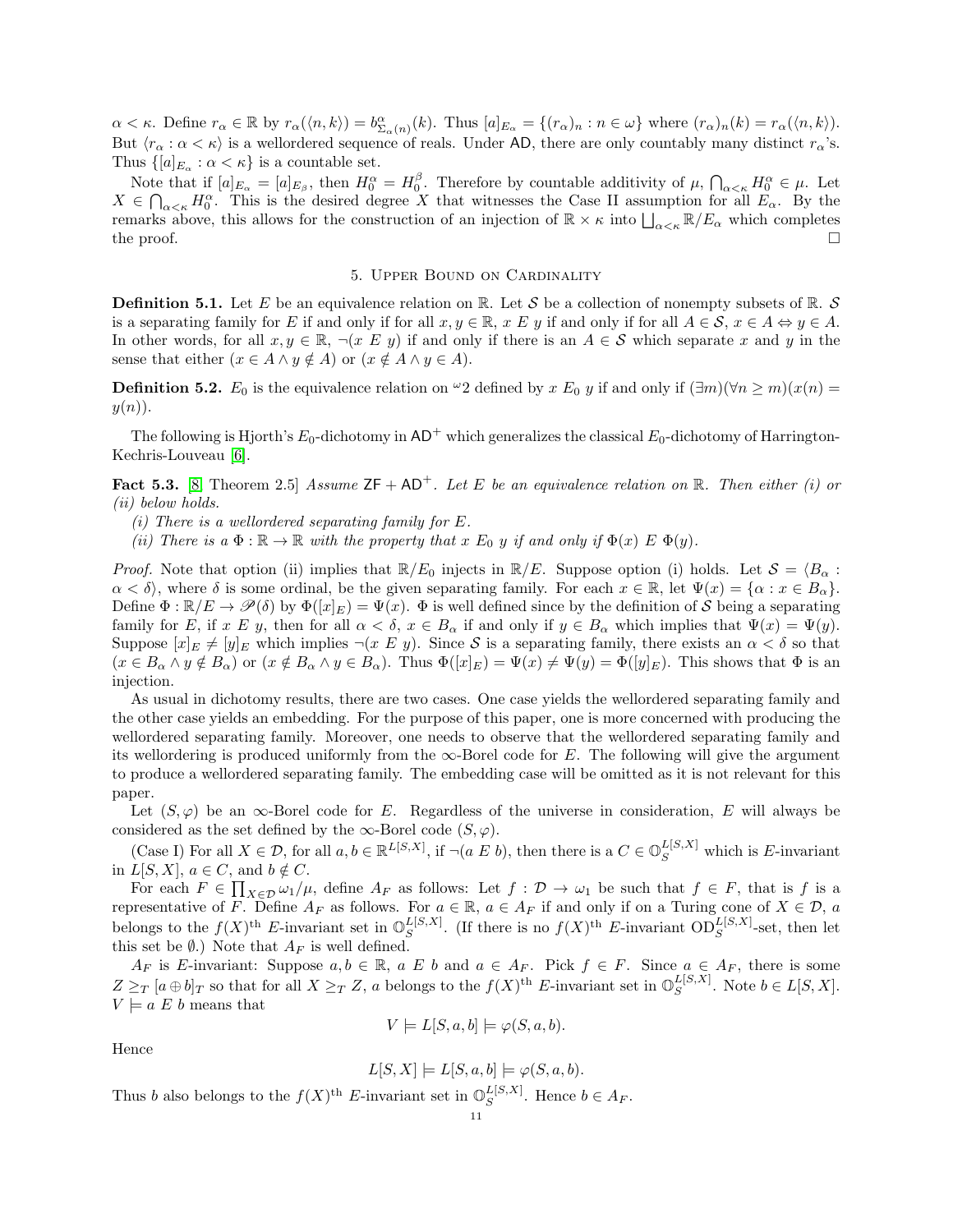$\alpha < \kappa$ . Define  $r_{\alpha} \in \mathbb{R}$  by  $r_{\alpha}(\langle n, k \rangle) = b^{\alpha}_{\Sigma_{\alpha}(n)}(k)$ . Thus  $[a]_{E_{\alpha}} = \{(r_{\alpha})_n : n \in \omega\}$  where  $(r_{\alpha})_n(k) = r_{\alpha}(\langle n, k \rangle)$ . But  $\langle r_{\alpha} : \alpha < \kappa \rangle$  is a wellordered sequence of reals. Under AD, there are only countably many distinct  $r_{\alpha}$ 's. Thus  $\{[a]_{E_\alpha} : \alpha < \kappa\}$  is a countable set.

Note that if  $[a]_{E_{\alpha}} = [a]_{E_{\beta}}$ , then  $H_0^{\alpha} = H_0^{\beta}$ . Therefore by countable additivity of  $\mu$ ,  $\bigcap_{\alpha < \kappa} H_0^{\alpha} \in \mu$ . Let  $X \in \bigcap_{\alpha < \kappa} H_0^{\alpha}$ . This is the desired degree X that witnesses the Case II assumption for all  $E_{\alpha}$ . By the remarks above, this allows for the construction of an injection of  $\mathbb{R} \times \kappa$  into  $\bigsqcup_{\alpha < \kappa} \mathbb{R}/E_{\alpha}$  which completes the proof.  $\Box$ 

#### 5. Upper Bound on Cardinality

<span id="page-10-0"></span>**Definition 5.1.** Let E be an equivalence relation on R. Let S be a collection of nonempty subsets of R. S is a separating family for E if and only if for all  $x, y \in \mathbb{R}$ ,  $x \in y$  if and only if for all  $A \in \mathcal{S}$ ,  $x \in A \Leftrightarrow y \in A$ . In other words, for all  $x, y \in \mathbb{R}$ ,  $\neg(x \ E \ y)$  if and only if there is an  $A \in \mathcal{S}$  which separate x and y in the sense that either  $(x \in A \land y \notin A)$  or  $(x \notin A \land y \in A)$ .

**Definition 5.2.**  $E_0$  is the equivalence relation on  $\omega_2$  defined by x  $E_0$  y if and only if  $(\exists m)(\forall n \ge m)(x(n) =$  $y(n)$ .

The following is Hjorth's  $E_0$ -dichotomy in  $AD^+$  which generalizes the classical  $E_0$ -dichotomy of Harrington-Kechris-Louveau [\[6\]](#page-16-12).

<span id="page-10-1"></span>**Fact 5.3.** [\[8,](#page-16-9) Theorem 2.5] Assume  $ZF + AD^+$ . Let E be an equivalence relation on R. Then either (i) or (ii) below holds.

(i) There is a wellordered separating family for  $E$ .

(ii) There is  $a \Phi : \mathbb{R} \to \mathbb{R}$  with the property that  $x E_0$  y if and only if  $\Phi(x) E \Phi(y)$ .

*Proof.* Note that option (ii) implies that  $\mathbb{R}/E_0$  injects in  $\mathbb{R}/E$ . Suppose option (i) holds. Let  $\mathcal{S} = \langle B_\alpha :$  $\alpha < \delta$ , where  $\delta$  is some ordinal, be the given separating family. For each  $x \in \mathbb{R}$ , let  $\Psi(x) = \{\alpha : x \in B_{\alpha}\}.$ Define  $\Phi : \mathbb{R}/E \to \mathcal{P}(\delta)$  by  $\Phi([x]_E) = \Psi(x)$ .  $\Phi$  is well defined since by the definition of S being a separating family for E, if x E y, then for all  $\alpha < \delta$ ,  $x \in B_\alpha$  if and only if  $y \in B_\alpha$  which implies that  $\Psi(x) = \Psi(y)$ . Suppose  $[x]_E \neq [y]_E$  which implies  $\neg(x \ E \ y)$ . Since S is a separating family, there exists an  $\alpha < \delta$  so that  $(x \in B_\alpha \wedge y \notin B_\alpha)$  or  $(x \notin B_\alpha \wedge y \in B_\alpha)$ . Thus  $\Phi([x]_E) = \Psi(x) \neq \Psi(y) = \Phi([y]_E)$ . This shows that  $\Phi$  is an injection.

As usual in dichotomy results, there are two cases. One case yields the wellordered separating family and the other case yields an embedding. For the purpose of this paper, one is more concerned with producing the wellordered separating family. Moreover, one needs to observe that the wellordered separating family and its wellordering is produced uniformly from the  $\infty$ -Borel code for E. The following will give the argument to produce a wellordered separating family. The embedding case will be omitted as it is not relevant for this paper.

Let  $(S, \varphi)$  be an  $\infty$ -Borel code for E. Regardless of the universe in consideration, E will always be considered as the set defined by the  $\infty$ -Borel code  $(S, \varphi)$ .

(Case I) For all  $X \in \mathcal{D}$ , for all  $a, b \in \mathbb{R}^{L[S,X]}$ , if  $\neg(a \ E \ b)$ , then there is a  $C \in \mathbb{O}_S^{L[S,X]}$  which is E-invariant in  $L[S, X]$ ,  $a \in C$ , and  $b \notin C$ .

For each  $F \in \prod_{X \in \mathcal{D}} \omega_1/\mu$ , define  $A_F$  as follows: Let  $f : \mathcal{D} \to \omega_1$  be such that  $f \in F$ , that is f is a representative of F. Define  $A_F$  as follows. For  $a \in \mathbb{R}$ ,  $a \in A_F$  if and only if on a Turing cone of  $X \in \mathcal{D}$ , a belongs to the  $f(X)$ <sup>th</sup> E-invariant set in  $\mathbb{O}_S^{L[S,X]}$  $_{S}^{L[S,X]}$ . (If there is no  $f(X)$ <sup>th</sup> E-invariant OD<sub>S</sub><sup>L[S,X]</sup>-set, then let this set be  $\emptyset$ .) Note that  $A_F$  is well defined.

 $A_F$  is E-invariant: Suppose  $a, b \in \mathbb{R}$ ,  $a \ E b$  and  $a \in A_F$ . Pick  $f \in F$ . Since  $a \in A_F$ , there is some  $Z \geq_T [a \oplus b]_T$  so that for all  $X \geq_T Z$ , a belongs to the  $f(X)$ <sup>th</sup> E-invariant set in  $\mathbb{O}^{L[S,X]}_S$  $_{S}^{L[S,X]}$ . Note  $b \in L[S,X]$ .  $V \models a \mathcal{L} b$  means that

$$
V \models L[S, a, b] \models \varphi(S, a, b).
$$

Hence

$$
L[S, X] \models L[S, a, b] \models \varphi(S, a, b).
$$

Thus b also belongs to the  $f(X)$ <sup>th</sup> E-invariant set in  $\mathbb{O}_S^{L[S,X]}$  $S^{L[3,\Lambda]}$ . Hence  $b \in A_F$ .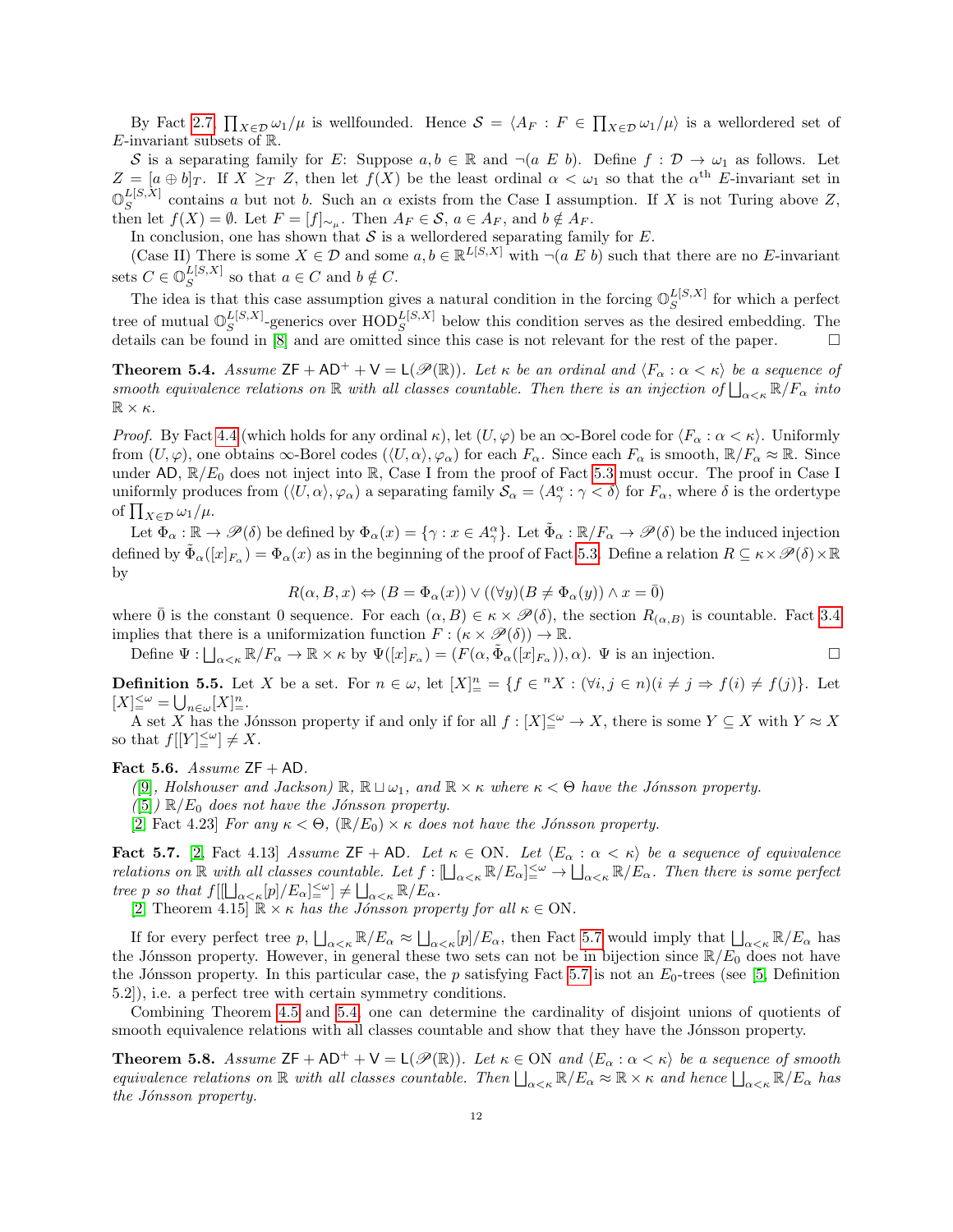By Fact [2.7,](#page-4-1)  $\prod_{X\in\mathcal{D}}\omega_1/\mu$  is wellfounded. Hence  $\mathcal{S} = \langle A_F : F \in \prod_{X\in\mathcal{D}}\omega_1/\mu\rangle$  is a wellordered set of E-invariant subsets of  $\mathbb{R}$ .

S is a separating family for E: Suppose  $a, b \in \mathbb{R}$  and  $\neg(a \ E \ b)$ . Define  $f : \mathcal{D} \to \omega_1$  as follows. Let  $Z = [a \oplus b]_T$ . If  $X \geq_T Z$ , then let  $f(X)$  be the least ordinal  $\alpha < \omega_1$  so that the  $\alpha^{\text{th}}$  E-invariant set in  $\mathbb{O}_G^{L[S,X]}$  $S^{L[3],\Lambda}$  contains a but not b. Such an  $\alpha$  exists from the Case I assumption. If X is not Turing above Z, then let  $f(X) = \emptyset$ . Let  $F = [f]_{\sim_\mu}$ . Then  $A_F \in \mathcal{S}$ ,  $a \in A_F$ , and  $b \notin A_F$ .

In conclusion, one has shown that  $S$  is a wellordered separating family for  $E$ .

(Case II) There is some  $X \in \mathcal{D}$  and some  $a, b \in \mathbb{R}^{L[S,X]}$  with  $\neg(a \ E \ b)$  such that there are no E-invariant sets  $C \in \mathbb{O}_S^{L[S,X]}$  $\frac{L[S, X]}{S}$  so that  $a \in C$  and  $b \notin C$ .

The idea is that this case assumption gives a natural condition in the forcing  $\mathbb{O}_{S}^{L[S,X]}$  $S^{L[\mathcal{S},\Lambda]}$  for which a perfect tree of mutual  $\mathbb{O}_S^{L[S,X]}$  $_{S}^{L[S,X]}$ -generics over  $\text{HOD}_{S}^{L[S,X]}$  below this condition serves as the desired embedding. The details can be found in  $\overline{8}$  and are omitted since this case is not relevant for the rest of the paper.

<span id="page-11-0"></span>**Theorem 5.4.** Assume  $ZF + AD^+ + V = L(\mathcal{P}(\mathbb{R}))$ . Let  $\kappa$  be an ordinal and  $\langle F_\alpha : \alpha < \kappa \rangle$  be a sequence of smooth equivalence relations on  $\mathbb R$  with all classes countable. Then there is an injection of  $\bigsqcup_{\alpha<\kappa} \mathbb R/F_\alpha$  into  $\mathbb{R}\times\kappa$ .

*Proof.* By Fact [4.4](#page-9-1) (which holds for any ordinal  $\kappa$ ), let  $(U, \varphi)$  be an  $\infty$ -Borel code for  $\langle F_\alpha : \alpha < \kappa \rangle$ . Uniformly from  $(U, \varphi)$ , one obtains  $\infty$ -Borel codes  $(\langle U, \alpha \rangle, \varphi_\alpha)$  for each  $F_\alpha$ . Since each  $F_\alpha$  is smooth,  $\mathbb{R}/F_\alpha \approx \mathbb{R}$ . Since under AD,  $\mathbb{R}/E_0$  does not inject into  $\mathbb{R}$ , Case I from the proof of Fact [5.3](#page-10-1) must occur. The proof in Case I uniformly produces from  $(\langle U, \alpha \rangle, \varphi_\alpha)$  a separating family  $\mathcal{S}_\alpha = \langle A^\alpha_\gamma : \gamma < \delta \rangle$  for  $F_\alpha$ , where  $\delta$  is the ordertype of  $\prod_{X \in \mathcal{D}} \omega_1 / \mu$ .

Let  $\Phi_{\alpha} : \mathbb{R} \to \mathscr{P}(\delta)$  be defined by  $\Phi_{\alpha}(x) = \{ \gamma : x \in A_{\gamma}^{\alpha} \}$ . Let  $\tilde{\Phi}_{\alpha} : \mathbb{R}/F_{\alpha} \to \mathscr{P}(\delta)$  be the induced injection defined by  $\tilde{\Phi}_{\alpha}([x]_{F_{\alpha}}) = \Phi_{\alpha}(x)$  as in the beginning of the proof of Fact [5.3.](#page-10-1) Define a relation  $R \subseteq \kappa \times \mathscr{P}(\delta) \times \mathbb{R}$ by

$$
R(\alpha, B, x) \Leftrightarrow (B = \Phi_{\alpha}(x)) \vee ((\forall y)(B \neq \Phi_{\alpha}(y)) \wedge x = \overline{0})
$$

where  $\bar{0}$  is the constant 0 sequence. For each  $(\alpha, B) \in \kappa \times \mathscr{P}(\delta)$ , the section  $R_{(\alpha, B)}$  is countable. Fact [3.4](#page-7-0) implies that there is a uniformization function  $F : (\kappa \times \mathscr{P}(\delta)) \to \mathbb{R}$ .

Define  $\Psi: \bigsqcup_{\alpha<\kappa} \mathbb{R}/F_\alpha \to \mathbb{R} \times \kappa$  by  $\Psi([x]_{F_\alpha}) = (F(\alpha, \tilde{\Phi}_\alpha([x]_{F_\alpha})), \alpha)$ .  $\Psi$  is an injection.

**Definition 5.5.** Let X be a set. For  $n \in \omega$ , let  $[X]_{\equiv}^{n} = \{f \in {}^{n}X : (\forall i, j \in n)(i \neq j \Rightarrow f(i) \neq f(j)\}$ . Let  $[X]^{<\omega}_= \bigcup\nolimits_{n \in \omega} [X]^n_-.$ 

A set X has the Jónsson property if and only if for all  $f : [X] \leq^{\omega} \to X$ , there is some  $Y \subseteq X$  with  $Y \approx X$ so that  $f[[Y] \leq \omega] \neq X$ .

## Fact 5.6. Assume  $ZF + AD$ .

([\[9\]](#page-16-1), Holshouser and Jackson)  $\mathbb{R}, \mathbb{R} \sqcup \omega_1$ , and  $\mathbb{R} \times \kappa$  where  $\kappa < \Theta$  have the Jónsson property.

- $([5]) \mathbb{R}/E_0$  $([5]) \mathbb{R}/E_0$  $([5]) \mathbb{R}/E_0$  does not have the Jónsson property.
- [\[2,](#page-16-3) Fact 4.23] For any  $\kappa < \Theta$ ,  $(\mathbb{R}/E_0) \times \kappa$  does not have the Jónsson property.

<span id="page-11-2"></span>Fact 5.7. [\[2,](#page-16-3) Fact 4.13] Assume ZF + AD. Let  $\kappa \in ON$ . Let  $\langle E_\alpha : \alpha < \kappa \rangle$  be a sequence of equivalence relations on  $\mathbb R$  with all classes countable. Let  $f: [\bigsqcup_{\alpha<\kappa} \mathbb R/E_\alpha] \leq^{\omega} \to \bigsqcup_{\alpha<\kappa} \mathbb R/E_\alpha$ . Then there is some perfect tree p so that  $f[[\Box_{\alpha<\kappa}[p]/E_{\alpha}]^{\leq\omega}_{\alpha}]\neq \Box_{\alpha<\kappa} \mathbb{R}/E_{\alpha}$ .

[\[2,](#page-16-3) Theorem 4.15]  $\mathbb{R} \times \kappa$  has the Jónsson property for all  $\kappa \in \text{ON}$ .

If for every perfect tree  $p$ ,  $\bigsqcup_{\alpha<\kappa} \mathbb{R}/E_\alpha \approx \bigsqcup_{\alpha<\kappa} [p]/E_\alpha$ , then Fact [5.7](#page-11-2) would imply that  $\bigsqcup_{\alpha<\kappa} \mathbb{R}/E_\alpha$  has the Jónsson property. However, in general these two sets can not be in bijection since  $\mathbb{R}/E_0$  does not have the Jónsson property. In this particular case, the p satisfying Fact [5.7](#page-11-2) is not an  $E_0$ -trees (see [\[5,](#page-16-2) Definition 5.2]), i.e. a perfect tree with certain symmetry conditions.

Combining Theorem [4.5](#page-9-0) and [5.4,](#page-11-0) one can determine the cardinality of disjoint unions of quotients of smooth equivalence relations with all classes countable and show that they have the Jónsson property.

<span id="page-11-1"></span>**Theorem 5.8.** Assume  $ZF + AD^+ + V = L(\mathcal{P}(\mathbb{R}))$ . Let  $\kappa \in ON$  and  $\langle E_\alpha : \alpha < \kappa \rangle$  be a sequence of smooth equivalence relations on  $\mathbb R$  with all classes countable. Then  $\bigsqcup_{\alpha<\kappa} \mathbb R/E_\alpha \approx \mathbb R\times\kappa$  and hence  $\bigsqcup_{\alpha<\kappa} \mathbb R/E_\alpha$  has the Jónsson property.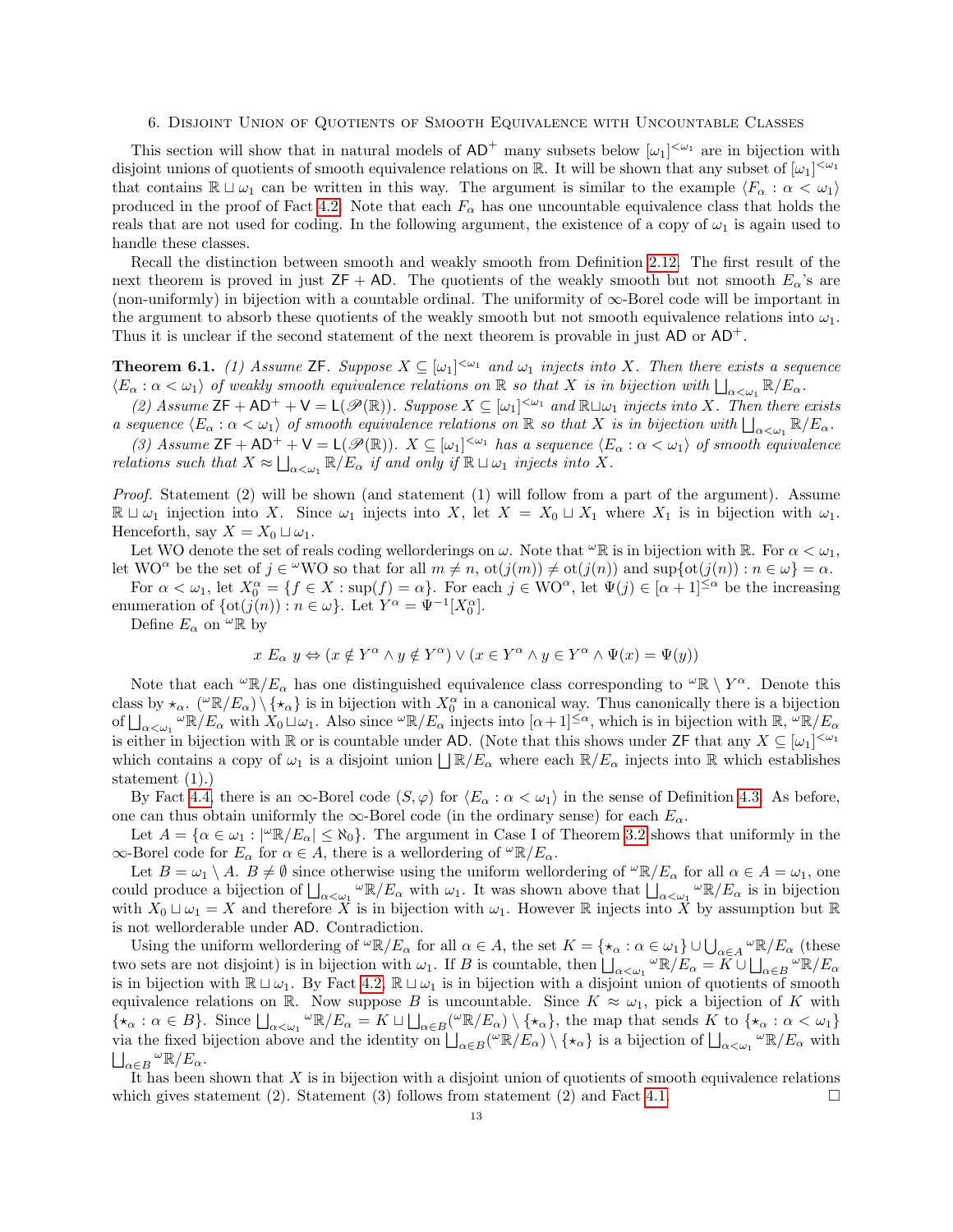#### 6. Disjoint Union of Quotients of Smooth Equivalence with Uncountable Classes

This section will show that in natural models of  $AD^+$  many subsets below  $[\omega_1]^{<\omega_1}$  are in bijection with disjoint unions of quotients of smooth equivalence relations on R. It will be shown that any subset of  $[\omega_1]^{<\omega_1}$ that contains  $\mathbb{R} \sqcup \omega_1$  can be written in this way. The argument is similar to the example  $\langle F_\alpha : \alpha < \omega_1 \rangle$ produced in the proof of Fact [4.2.](#page-8-0) Note that each  $F_{\alpha}$  has one uncountable equivalence class that holds the reals that are not used for coding. In the following argument, the existence of a copy of  $\omega_1$  is again used to handle these classes.

Recall the distinction between smooth and weakly smooth from Definition [2.12.](#page-4-4) The first result of the next theorem is proved in just  $ZF + AD$ . The quotients of the weakly smooth but not smooth  $E_{\alpha}$ 's are (non-uniformly) in bijection with a countable ordinal. The uniformity of ∞-Borel code will be important in the argument to absorb these quotients of the weakly smooth but not smooth equivalence relations into  $\omega_1$ . Thus it is unclear if the second statement of the next theorem is provable in just  $AD \text{ or } AD^+$ .

<span id="page-12-0"></span>**Theorem 6.1.** (1) Assume ZF. Suppose  $X \subseteq [\omega_1]^{<\omega_1}$  and  $\omega_1$  injects into X. Then there exists a sequence  $\langle E_\alpha : \alpha < \omega_1 \rangle$  of weakly smooth equivalence relations on  $\mathbb R$  so that X is in bijection with  $\bigsqcup_{\alpha < \omega_1} \mathbb R/E_\alpha$ .

 $\alpha$ .  $\alpha \leq \omega_1$  by weakly smooth equivalence relations on  $\mathbb{R}$  so that X is in objection with  $\Box_{\alpha < \omega_1} \mathbb{R} \rightarrow \Box_{\alpha}$ .<br>(2) Assume ZF + AD<sup>+</sup> + V = L( $\mathscr{P}(\mathbb{R})$ ). Suppose  $X \subseteq [\omega_1]^{<\omega_1}$  and  $\mathbb{R} \sqcup \omega_1$ a sequence  $\langle E_\alpha : \alpha < \omega_1 \rangle$  of smooth equivalence relations on R so that X is in bijection with  $\bigsqcup_{\alpha < \omega_1} \mathbb{R}/E_\alpha$ .

(3) Assume  $\mathsf{ZF} + \mathsf{AD^+} + \mathsf{V} = \mathsf{L}(\mathscr{P}(\mathbb{R}))$ .  $X \subseteq [\omega_1]^{<\omega_1}$  has a sequence  $\langle E_\alpha : \alpha < \omega_1 \rangle$  of smooth equivalence relations such that  $X \approx \bigsqcup_{\alpha < \omega_1} \mathbb{R}/E_\alpha$  if and only if  $\mathbb{R} \sqcup \omega_1$  injects into X.

Proof. Statement (2) will be shown (and statement (1) will follow from a part of the argument). Assume  $\mathbb{R} \sqcup \omega_1$  injection into X. Since  $\omega_1$  injects into X, let  $X = X_0 \sqcup X_1$  where  $X_1$  is in bijection with  $\omega_1$ . Henceforth, say  $X = X_0 \sqcup \omega_1$ .

Let WO denote the set of reals coding wellorderings on  $\omega$ . Note that  $\omega \mathbb{R}$  is in bijection with  $\mathbb{R}$ . For  $\alpha < \omega_1$ , let WO<sup> $\alpha$ </sup> be the set of  $j \in {}^{\omega}$ WO so that for all  $m \neq n$ ,  $ot(j(m)) \neq ot(j(n))$  and  $sup{ot(j(n)) : n \in \omega} = \alpha$ .

For  $\alpha < \omega_1$ , let  $X_0^{\alpha} = \{f \in X : \sup(f) = \alpha\}$ . For each  $j \in WO^{\alpha}$ , let  $\Psi(j) \in [\alpha + 1]^{\leq \alpha}$  be the increasing enumeration of  $\{\text{ot}(j(n)) : n \in \omega\}$ . Let  $Y^{\alpha} = \Psi^{-1}[X_0^{\alpha}]$ .

Define  $E_{\alpha}$  on  $^{\omega} \mathbb{R}$  by

$$
x E_{\alpha} y \Leftrightarrow (x \notin Y^{\alpha} \land y \notin Y^{\alpha}) \lor (x \in Y^{\alpha} \land y \in Y^{\alpha} \land \Psi(x) = \Psi(y))
$$

Note that each  $\omega \mathbb{R}/E_\alpha$  has one distinguished equivalence class corresponding to  $\omega \mathbb{R} \setminus Y^\alpha$ . Denote this class by  $\star_{\alpha}$ . ( $\omega \mathbb{R}/E_{\alpha}$ )  $\{\star_{\alpha}\}\$ is in bijection with  $X_0^{\alpha}$  in a canonical way. Thus canonically there is a bijection of  $\bigsqcup_{\alpha<\omega_1} \omega_{\mathbb{R}}/E_\alpha$  with  $X_0 \sqcup \omega_1$ . Also since  $\omega_{\mathbb{R}}/E_\alpha$  injects into  $[\alpha+1]^{\leq \alpha}$ , which is in bijection with  $\mathbb{R}, \omega_{\mathbb{R}}/E_\alpha$ is either in bijection with R or is countable under AD. (Note that this shows under  $\mathsf{ZF}$  that any  $X \subseteq [\omega_1]^{<\omega_1}$ which contains a copy of  $\omega_1$  is a disjoint union  $\Box \mathbb{R}/E_\alpha$  where each  $\mathbb{R}/E_\alpha$  injects into  $\mathbb{R}$  which establishes statement (1).)

By Fact [4.4,](#page-9-1) there is an  $\infty$ -Borel code  $(S, \varphi)$  for  $\langle E_\alpha : \alpha < \omega_1 \rangle$  in the sense of Definition [4.3.](#page-8-1) As before, one can thus obtain uniformly the  $\infty$ -Borel code (in the ordinary sense) for each  $E_{\alpha}$ .

Let  $A = \{ \alpha \in \omega_1 : |\^omega \mathbb{R}/E_\alpha | \leq \aleph_0 \}$ . The argument in Case I of Theorem [3.2](#page-5-0) shows that uniformly in the  $\infty$ -Borel code for  $E_{\alpha}$  for  $\alpha \in A$ , there is a wellordering of  $\omega \mathbb{R}/E_{\alpha}$ .

Let  $B = \omega_1 \setminus A$ .  $B \neq \emptyset$  since otherwise using the uniform wellordering of  ${}^{\omega} \mathbb{R}/E_{\alpha}$  for all  $\alpha \in A = \omega_1$ , one could produce a bijection of  $\bigsqcup_{\alpha<\omega_1}{}^{\omega} \mathbb{R}/E_{\alpha}$  with  $\omega_1$ . It was shown above that  $\bigsqcup_{\alpha<\omega_1} {}^{\omega} \mathbb{R}/E_{\alpha}$  is in bijection with  $X_0 \sqcup \omega_1 = X$  and therefore X is in bijection with  $\omega_1$ . However R injects into X by assumption but R is not wellorderable under AD. Contradiction.

Using the uniform wellordering of  ${}^{\omega} \mathbb{R}/E_{\alpha}$  for all  $\alpha \in A$ , the set  $K = \{\star_{\alpha} : \alpha \in \omega_1\} \cup \bigcup_{\alpha \in A} {}^{\omega} \mathbb{R}/E_{\alpha}$  (these two sets are not disjoint) is in bijection with  $\omega_1$ . If B is countable, then  $\bigsqcup_{\alpha<\omega_1} \omega \mathbb{R}/E_\alpha = K \cup \bigsqcup_{\alpha\in B} \omega \mathbb{R}/E_\alpha$ is in bijection with  $\mathbb{R} \sqcup \omega_1$ . By Fact [4.2,](#page-8-0)  $\mathbb{R} \sqcup \omega_1$  is in bijection with a disjoint union of quotients of smooth equivalence relations on R. Now suppose B is uncountable. Since  $K \approx \omega_1$ , pick a bijection of K with  $\{\star_\alpha : \alpha \in B\}$ . Since  $\bigsqcup_{\alpha < \omega_1} {}^{\omega} \mathbb{R}/E_\alpha = K \sqcup \bigsqcup_{\alpha \in B} ({}^{\omega} \mathbb{R}/E_\alpha) \setminus \{\star_\alpha\}$ , the map that sends K to  $\{\star_\alpha : \alpha < \omega_1\}$ via the fixed bijection above and the identity on  $\Box_{\alpha \in B}(\omega \mathbb{R}/E_{\alpha}) \setminus {\{\star_{\alpha}\}}$  is a bijection of  $\Box_{\alpha \leq \omega_1} \omega \mathbb{R}/E_{\alpha}$  with  $\bigsqcup_{\alpha \in B} \, ^\omega \mathbb{R} / E_\alpha.$ 

It has been shown that  $X$  is in bijection with a disjoint union of quotients of smooth equivalence relations which gives statement (2). Statement (3) follows from statement (2) and Fact [4.1.](#page-8-2)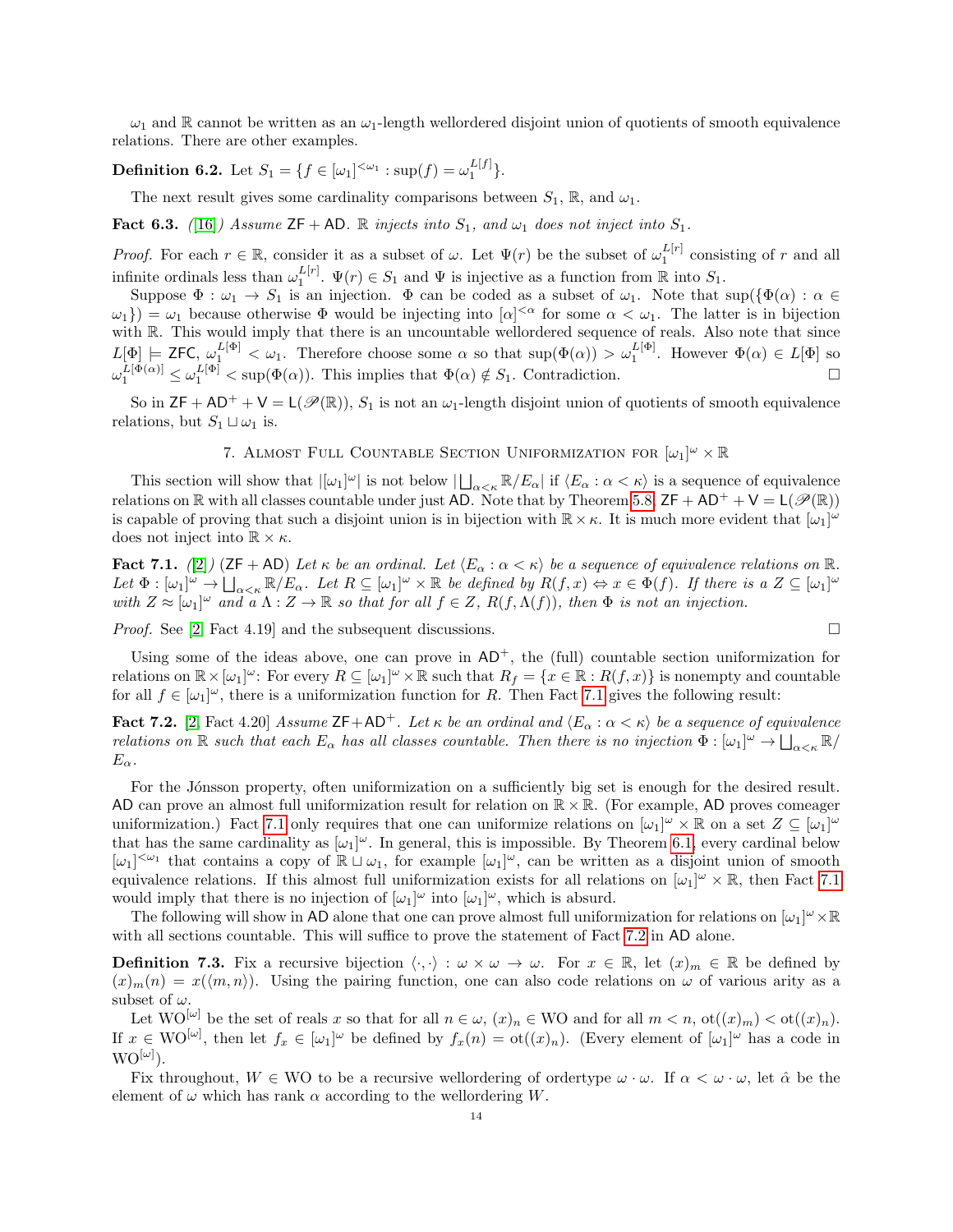$\omega_1$  and R cannot be written as an  $\omega_1$ -length wellordered disjoint union of quotients of smooth equivalence relations. There are other examples.

**Definition 6.2.** Let  $S_1 = \{ f \in [\omega_1]^{<\omega_1} : \sup(f) = \omega_1^{L[f]} \}.$ 

The next result gives some cardinality comparisons between  $S_1$ , R, and  $\omega_1$ .

Fact 6.3. ([\[16\]](#page-17-1)) Assume  $ZF + AD$ . R injects into  $S_1$ , and  $\omega_1$  does not inject into  $S_1$ .

*Proof.* For each  $r \in \mathbb{R}$ , consider it as a subset of  $\omega$ . Let  $\Psi(r)$  be the subset of  $\omega_1^{L[r]}$  consisting of r and all infinite ordinals less than  $\omega_1^{L[r]}$ .  $\Psi(r) \in S_1$  and  $\Psi$  is injective as a function from  $\mathbb R$  into  $S_1$ .

Suppose  $\Phi : \omega_1 \to S_1$  is an injection.  $\Phi$  can be coded as a subset of  $\omega_1$ . Note that  $\sup(\{\Phi(\alpha) : \alpha \in \mathbb{R}\})$  $\{\omega_1\}) = \omega_1$  because otherwise  $\Phi$  would be injecting into  $[\alpha]^{<\alpha}$  for some  $\alpha < \omega_1$ . The latter is in bijection with R. This would imply that there is an uncountable wellordered sequence of reals. Also note that since  $L[\Phi] \models \textsf{ZFC}, \ \omega_1^{L[\Phi]} < \omega_1. \text{ Therefore choose some } \alpha \text{ so that } \sup(\Phi(\alpha)) > \omega_1^{L[\Phi]}. \text{ However } \Phi(\alpha) \in L[\Phi] \text{ so } \alpha \text{ to } \alpha \text{ to } \alpha \text{ to } \alpha \text{ to } \alpha \text{ to } \alpha \text{ to } \alpha \text{ to } \alpha \text{ to } \alpha \text{ to } \alpha \text{ to } \alpha \text{ to } \alpha \text{ to } \alpha \text{ to } \alpha \text{ to } \alpha \text{ to } \alpha \text{ to } \alpha \text{ to } \alpha \text{ to } \alpha \text{ to }$  $\omega_1^{L[\Phi(\alpha)]} \leq \omega_1^{L[\Phi]} < \sup(\Phi(\alpha))$ . This implies that  $\Phi(\alpha) \notin S_1$ . Contradiction.

So in  $ZF + AD^+ + V = L(\mathcal{P}(\mathbb{R}))$ ,  $S_1$  is not an  $\omega_1$ -length disjoint union of quotients of smooth equivalence relations, but  $S_1 \sqcup \omega_1$  is.

# 7. ALMOST FULL COUNTABLE SECTION UNIFORMIZATION FOR  $[\omega_1]^{\omega} \times \mathbb{R}$

<span id="page-13-0"></span>This section will show that  $|[\omega_1]^{\omega}|$  is not below  $|\bigsqcup_{\alpha<\kappa} \mathbb{R}/E_{\alpha}|$  if  $\langle E_{\alpha}:\alpha<\kappa\rangle$  is a sequence of equivalence relations on  $\mathbb R$  with all classes countable under just AD. Note that by Theorem [5.8,](#page-11-1)  $ZF + AD^+ + V = L(\mathscr{P}(\mathbb{R}))$ is capable of proving that such a disjoint union is in bijection with  $\mathbb{R}\times\kappa$ . It is much more evident that  $[\omega_1]^{\omega}$ does not inject into  $\mathbb{R} \times \kappa$ .

<span id="page-13-1"></span>Fact 7.1. ([\[2\]](#page-16-3)) (ZF + AD) Let  $\kappa$  be an ordinal. Let  $\langle E_\alpha : \alpha < \kappa \rangle$  be a sequence of equivalence relations on R. Let  $\Phi : [\omega_1]^{\omega} \to \bigsqcup_{\alpha < \kappa} \mathbb{R}/E_{\alpha}$ . Let  $R \subseteq [\omega_1]^{\omega} \times \mathbb{R}$  be defined by  $R(f, x) \Leftrightarrow x \in \Phi(f)$ . If there is a  $Z \subseteq [\omega_1]^{\omega}$ with  $Z \approx [\omega_1]^{\omega}$  and  $\alpha \wedge Z \to \mathbb{R}$  so that for all  $f \in Z$ ,  $R(f, \Lambda(f))$ , then  $\Phi$  is not an injection.

*Proof.* See [\[2,](#page-16-3) Fact 4.19] and the subsequent discussions.  $\square$ 

Using some of the ideas above, one can prove in  $AD^+$ , the (full) countable section uniformization for relations on  $\mathbb{R}\times[\omega_1]^{\omega}$ : For every  $R\subseteq[\omega_1]^{\omega}\times\mathbb{R}$  such that  $R_f=\{x\in\mathbb{R}:R(f,x)\}$  is nonempty and countable for all  $f \in [\omega_1]^\omega$ , there is a uniformization function for R. Then Fact [7.1](#page-13-1) gives the following result:

<span id="page-13-2"></span>**Fact 7.2.** [\[2,](#page-16-3) Fact 4.20] Assume  $ZF+AD^+$ . Let  $\kappa$  be an ordinal and  $\langle E_\alpha : \alpha < \kappa \rangle$  be a sequence of equivalence relations on  $\mathbb R$  such that each  $E_\alpha$  has all classes countable. Then there is no injection  $\Phi: [\omega_1]^\omega \to \bigsqcup_{\alpha<\kappa} \mathbb R$ /  $E_{\alpha}$ .

For the Jónsson property, often uniformization on a sufficiently big set is enough for the desired result. AD can prove an almost full uniformization result for relation on  $\mathbb{R}\times\mathbb{R}$ . (For example, AD proves comeager uniformization.) Fact [7.1](#page-13-1) only requires that one can uniformize relations on  $[\omega_1]^{\omega} \times \mathbb{R}$  on a set  $Z \subseteq [\omega_1]^{\omega}$ that has the same cardinality as  $[\omega_1]^\omega$ . In general, this is impossible. By Theorem [6.1,](#page-12-0) every cardinal below  $[\omega_1]^{<\omega_1}$  that contains a copy of  $\mathbb{R} \cup \omega_1$ , for example  $[\omega_1]^\omega$ , can be written as a disjoint union of smooth equivalence relations. If this almost full uniformization exists for all relations on  $[\omega_1]^{\omega} \times \mathbb{R}$ , then Fact [7.1](#page-13-1) would imply that there is no injection of  $[\omega_1]^\omega$  into  $[\omega_1]^\omega$ , which is absurd.

The following will show in AD alone that one can prove almost full uniformization for relations on  $[\omega_1]^\omega \times \mathbb{R}$ with all sections countable. This will suffice to prove the statement of Fact [7.2](#page-13-2) in AD alone.

<span id="page-13-3"></span>**Definition 7.3.** Fix a recursive bijection  $\langle \cdot, \cdot \rangle : \omega \times \omega \to \omega$ . For  $x \in \mathbb{R}$ , let  $(x)_m \in \mathbb{R}$  be defined by  $(x)_m(n) = x(\langle m, n \rangle)$ . Using the pairing function, one can also code relations on  $\omega$  of various arity as a subset of  $\omega$ .

Let  $\text{WO}^{[\omega]}$  be the set of reals x so that for all  $n \in \omega$ ,  $(x)_n \in \text{WO}$  and for all  $m < n$ ,  $\text{ot}((x)_m) < \text{ot}((x)_n)$ . If  $x \in \mathrm{WO}^{[\omega]}$ , then let  $f_x \in [\omega_1]^{\omega}$  be defined by  $f_x(n) = \mathrm{ot}((x)_n)$ . (Every element of  $[\omega_1]^{\omega}$  has a code in  $\mathrm{WO}^{[\omega]})$ .

Fix throughout,  $W \in WO$  to be a recursive wellordering of ordertype  $\omega \cdot \omega$ . If  $\alpha < \omega \cdot \omega$ , let  $\hat{\alpha}$  be the element of  $\omega$  which has rank  $\alpha$  according to the wellordering W.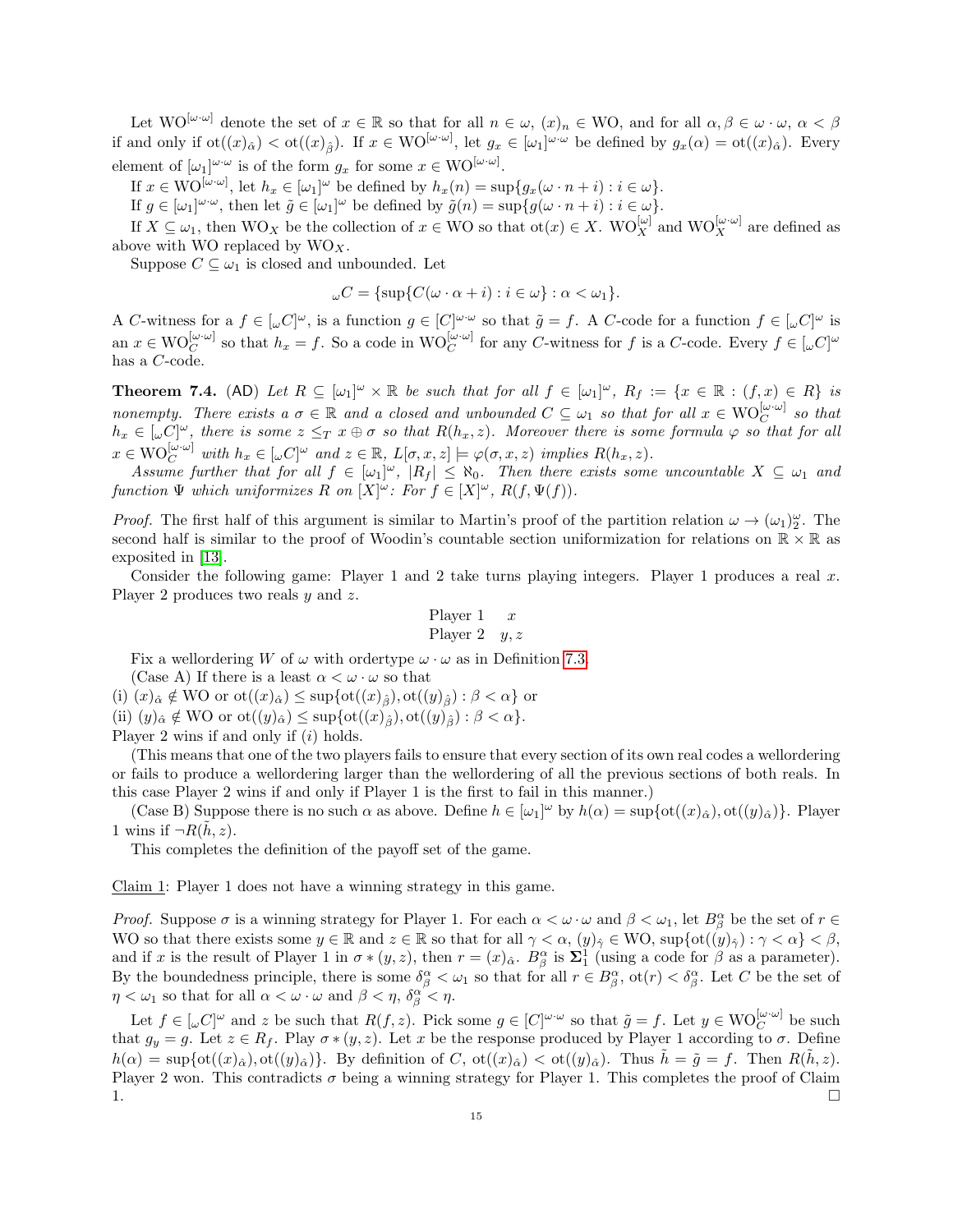Let  $\text{WO}^{[\omega \cdot \omega]}$  denote the set of  $x \in \mathbb{R}$  so that for all  $n \in \omega$ ,  $(x)_n \in \text{WO}$ , and for all  $\alpha, \beta \in \omega \cdot \omega$ ,  $\alpha < \beta$ if and only if  $\text{ot}((x)_{\hat{\alpha}}) < \text{ot}((x)_{\hat{\beta}})$ . If  $x \in \text{WO}^{[\omega \cdot \omega]}$ , let  $g_x \in [\omega_1]^{\omega \cdot \omega}$  be defined by  $g_x(\alpha) = \text{ot}((x)_{\hat{\alpha}})$ . Every element of  $[\omega_1]^{\omega \cdot \omega}$  is of the form  $g_x$  for some  $x \in \text{WO}^{[\omega \cdot \omega]}$ .

If  $x \in \text{WO}^{[\omega \cdot \omega]}$ , let  $h_x \in [\omega_1]^{\omega}$  be defined by  $h_x(n) = \sup\{g_x(\omega \cdot n + i) : i \in \omega\}.$ 

If  $g \in [\omega_1]^{\omega \cdot \omega}$ , then let  $\tilde{g} \in [\omega_1]^{\omega}$  be defined by  $\tilde{g}(n) = \sup \{ g(\omega \cdot n + i) : i \in \omega \}.$ 

If  $X \subseteq \omega_1$ , then  $WO_X$  be the collection of  $x \in WO$  so that  $\text{ot}(x) \in X$ .  $WO_X^{[\omega]}$  and  $WO_X^{[\omega \cdot \omega]}$  are defined as above with WO replaced by  $WO_X$ .

Suppose  $C \subseteq \omega_1$  is closed and unbounded. Let

$$
\omega C = {\sup \{ C(\omega \cdot \alpha + i) : i \in \omega \} : \alpha < \omega_1 \}.
$$

A C-witness for a  $f \in [\omega C]^{\omega}$ , is a function  $g \in [C]^{\omega \cdot \omega}$  so that  $\tilde{g} = f$ . A C-code for a function  $f \in [\omega C]^{\omega}$  is an  $x \in \text{WO}_C^{[\omega \cdot \omega]}$  so that  $h_x = f$ . So a code in  $\text{WO}_C^{[\omega \cdot \omega]}$  for any C-witness for f is a C-code. Every  $f \in [\omega]^\omega$ has a C-code.

<span id="page-14-0"></span>**Theorem 7.4.** (AD) Let  $R \subseteq [\omega_1]^{\omega} \times \mathbb{R}$  be such that for all  $f \in [\omega_1]^{\omega}$ ,  $R_f := \{x \in \mathbb{R} : (f,x) \in R\}$  is nonempty. There exists a  $\sigma \in \mathbb{R}$  and a closed and unbounded  $C \subseteq \omega_1$  so that for all  $x \in \mathrm{WO}_C^{[\omega \cdot \omega]}$  so that  $h_x \in [\omega]^\omega$ , there is some  $z \leq_T x \oplus \sigma$  so that  $R(h_x, z)$ . Moreover there is some formula  $\varphi$  so that for all  $x \in \text{WO}_{C}^{[\omega \cdot \omega]}$  with  $h_x \in [\omega C]^{\omega}$  and  $z \in \mathbb{R}$ ,  $L[\sigma, x, z] \models \varphi(\sigma, x, z)$  implies  $R(h_x, z)$ .

Assume further that for all  $f \in [\omega_1]^\omega$ ,  $|R_f| \leq \aleph_0$ . Then there exists some uncountable  $X \subseteq \omega_1$  and function  $\Psi$  which uniformizes R on  $[X]^\omega$ : For  $f \in [X]^\omega$ ,  $R(f, \Psi(f))$ .

*Proof.* The first half of this argument is similar to Martin's proof of the partition relation  $\omega \to (\omega_1)_2^{\omega}$ . The second half is similar to the proof of Woodin's countable section uniformization for relations on  $\mathbb{R} \times \mathbb{R}$  as exposited in [\[13\]](#page-17-5).

Consider the following game: Player 1 and 2 take turns playing integers. Player 1 produces a real  $x$ . Player 2 produces two reals y and z.

$$
\begin{array}{ll}\n \text{Player 1} & x \\
\text{Player 2} & y, z\n \end{array}
$$

Fix a wellordering W of  $\omega$  with ordertype  $\omega \cdot \omega$  as in Definition [7.3.](#page-13-3)

(Case A) If there is a least  $\alpha < \omega \cdot \omega$  so that

(i)  $(x)_{\hat{\alpha}} \notin WO$  or  $ot((x)_{\hat{\alpha}}) \leq \sup\{ot((x)_{\hat{\beta}}),ot((y)_{\hat{\beta}}): \beta < \alpha\}$  or

(ii)  $(y)_{\hat{\alpha}} \notin WO$  or  $ot((y)_{\hat{\alpha}}) \leq \sup\{ot((x)_{\hat{\beta}}),ot((y)_{\hat{\beta}}): \beta < \alpha\}.$ 

Player 2 wins if and only if  $(i)$  holds.

(This means that one of the two players fails to ensure that every section of its own real codes a wellordering or fails to produce a wellordering larger than the wellordering of all the previous sections of both reals. In this case Player 2 wins if and only if Player 1 is the first to fail in this manner.)

(Case B) Suppose there is no such  $\alpha$  as above. Define  $h \in [\omega_1]^\omega$  by  $h(\alpha) = \sup\{ot((x)_\alpha),ot((y)_\alpha)\}\$ . Player 1 wins if  $\neg R(\tilde{h}, z)$ .

This completes the definition of the payoff set of the game.

Claim 1: Player 1 does not have a winning strategy in this game.

Proof. Suppose  $\sigma$  is a winning strategy for Player 1. For each  $\alpha < \omega \cdot \omega$  and  $\beta < \omega_1$ , let  $B^{\alpha}_{\beta}$  be the set of  $r \in$ WO so that there exists some  $y \in \mathbb{R}$  and  $z \in \mathbb{R}$  so that for all  $\gamma < \alpha$ ,  $(y)_{\hat{\gamma}} \in \mathbb{W}$ O, sup{ot $((y)_{\hat{\gamma}}): \gamma < \alpha$ }  $< \beta$ , and if x is the result of Player 1 in  $\sigma * (y, z)$ , then  $r = (x)_{\hat{\alpha}}$ .  $B^{\alpha}_{\beta}$  is  $\Sigma^1_1$  (using a code for  $\beta$  as a parameter). By the boundedness principle, there is some  $\delta_{\beta}^{\alpha} < \omega_1$  so that for all  $r \in B_{\beta}^{\alpha}$ ,  $\cot(r) < \delta_{\beta}^{\alpha}$ . Let C be the set of  $\eta < \omega_1$  so that for all  $\alpha < \omega \cdot \omega$  and  $\beta < \eta$ ,  $\delta^{\alpha'}_{\beta} < \eta$ .

Let  $f \in [\omega]^{w}$  and z be such that  $R(f, z)$ . Pick some  $g \in [C]^{w \cdot w}$  so that  $\tilde{g} = f$ . Let  $y \in \mathrm{WO}_{C}^{[\omega \cdot \omega]}$  be such that  $g_y = g$ . Let  $z \in R_f$ . Play  $\sigma * (y, z)$ . Let x be the response produced by Player 1 according to  $\sigma$ . Define  $h(\alpha) = \sup\{\text{ot}((x)_{\hat{\alpha}}), \text{ot}((y)_{\hat{\alpha}})\}\.$  By definition of C,  $\text{ot}((x)_{\hat{\alpha}}) < \text{ot}((y)_{\hat{\alpha}})\.$  Thus  $\tilde{h} = \tilde{g} = f$ . Then  $R(\tilde{h}, z)$ . Player 2 won. This contradicts  $\sigma$  being a winning strategy for Player 1. This completes the proof of Claim 1.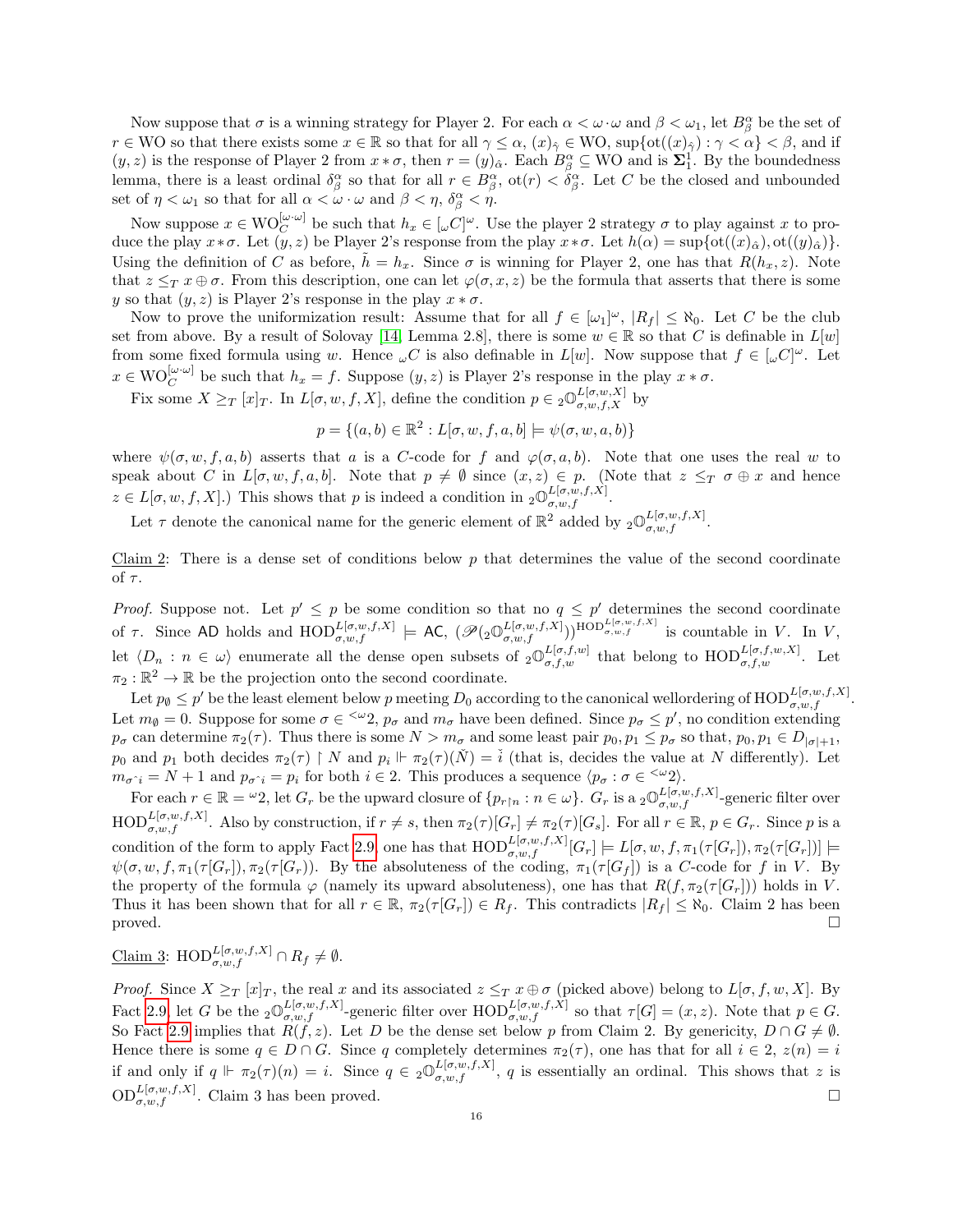Now suppose that  $\sigma$  is a winning strategy for Player 2. For each  $\alpha < \omega \cdot \omega$  and  $\beta < \omega_1$ , let  $B^{\alpha}_{\beta}$  be the set of  $r \in WO$  so that there exists some  $x \in \mathbb{R}$  so that for all  $\gamma \leq \alpha$ ,  $(x)_{\hat{\gamma}} \in WO$ ,  $\sup \{ \operatorname{ot}((x)_{\hat{\gamma}}) : \gamma < \alpha \} < \beta$ , and if  $(y, z)$  is the response of Player 2 from  $x * \sigma$ , then  $r = (y)_{\hat{\alpha}}$ . Each  $B^{\alpha}_{\beta} \subseteq WO$  and is  $\Sigma_1^1$ . By the boundedness lemma, there is a least ordinal  $\delta_\beta^\alpha$  so that for all  $r \in B_\beta^\alpha$ ,  $\text{ot}(r) < \delta_\beta^\alpha$ . Let C be the closed and unbounded set of  $\eta < \omega_1$  so that for all  $\alpha < \omega \cdot \omega$  and  $\beta < \eta$ ,  $\delta^{\alpha}_{\beta} < \eta$ .

Now suppose  $x \in \text{WO}_C^{[\omega,\omega]}$  be such that  $h_x \in [\omega C]^{\omega}$ . Use the player 2 strategy  $\sigma$  to play against x to produce the play  $x * \sigma$ . Let  $(y, z)$  be Player 2's response from the play  $x * \sigma$ . Let  $h(\alpha) = \sup\{ot(t(x)_{\alpha}),ot(t(y_{\alpha})\}$ . Using the definition of C as before,  $\tilde{h} = h_x$ . Since  $\sigma$  is winning for Player 2, one has that  $R(h_x, z)$ . Note that  $z \leq_T x \oplus \sigma$ . From this description, one can let  $\varphi(\sigma, x, z)$  be the formula that asserts that there is some y so that  $(y, z)$  is Player 2's response in the play  $x * \sigma$ .

Now to prove the uniformization result: Assume that for all  $f \in [\omega_1]^\omega$ ,  $|R_f| \leq \aleph_0$ . Let C be the club set from above. By a result of Solovay [\[14,](#page-17-0) Lemma 2.8], there is some  $w \in \mathbb{R}$  so that C is definable in  $L[w]$ from some fixed formula using w. Hence  $\omega C$  is also definable in  $L[w]$ . Now suppose that  $f \in [\omega C]^{\omega}$ . Let  $x \in \text{WO}_{C}^{[\omega \cdot \omega]}$  be such that  $h_x = f$ . Suppose  $(y, z)$  is Player 2's response in the play  $x * \sigma$ .

Fix some  $X \geq_T [x]_T$ . In  $L[\sigma, w, f, X]$ , define the condition  $p \in {}_2\mathbb{O}^{L[\sigma, w, X]}_{\sigma, w, f, X}$  by

$$
p = \{(a, b) \in \mathbb{R}^2 : L[\sigma, w, f, a, b] \models \psi(\sigma, w, a, b)\}
$$

where  $\psi(\sigma, w, f, a, b)$  asserts that a is a C-code for f and  $\varphi(\sigma, a, b)$ . Note that one uses the real w to speak about C in  $L[\sigma, w, f, a, b]$ . Note that  $p \neq \emptyset$  since  $(x, z) \in p$ . (Note that  $z \leq_T \sigma \oplus x$  and hence  $z \in L[\sigma, w, f, X].$  This shows that p is indeed a condition in  ${}_{2}\mathbb{O}^{L[\sigma, w, f, X]}_{\sigma, w, f}.$ 

Let  $\tau$  denote the canonical name for the generic element of  $\mathbb{R}^2$  added by  ${}_2\mathbb{O}^{L[\sigma,w,f,X]}_{\sigma,w,f}$ .

Claim 2: There is a dense set of conditions below  $p$  that determines the value of the second coordinate of  $\tau$ .

*Proof.* Suppose not. Let  $p' \leq p$  be some condition so that no  $q \leq p'$  determines the second coordinate of  $\tau$ . Since AD holds and  $\text{HOD}_{\sigma,w,f}^{L[\sigma,w,f,X]} \models \text{AC}, (\mathscr{P}(\underset{\sigma,w,f}{\mathscr{D}}_{\sigma,w,f}^{L[\sigma,w,f,X]}))^{\text{HOD}_{\sigma,w,f}^{L[\sigma,w,f,X]}}$  is countable in V. In V, let  $\langle D_n : n \in \omega \rangle$  enumerate all the dense open subsets of  $_2\mathbb{O}^{L[\sigma,f,w]}_{\sigma,f,w}$  that belong to  $\text{HOD}^{L[\sigma,f,w,X]}_{\sigma,f,w}$ . Let  $\pi_2 : \mathbb{R}^2 \to \mathbb{R}$  be the projection onto the second coordinate.

Let  $p_{\emptyset} \leq p'$  be the least element below p meeting  $D_0$  according to the canonical wellordering of  $\text{HOD}_{\sigma,w,f}^{L[\sigma,w,f,X]}$ . Let  $m_{\phi} = 0$ . Suppose for some  $\sigma \in \langle \omega_2, p_{\sigma} \rangle$  and  $m_{\sigma}$  have been defined. Since  $p_{\sigma} \leq p'$ , no condition extending  $p_{\sigma}$  can determine  $\pi_2(\tau)$ . Thus there is some  $N > m_{\sigma}$  and some least pair  $p_0, p_1 \leq p_{\sigma}$  so that,  $p_0, p_1 \in D_{|\sigma|+1}$ ,  $p_0$  and  $p_1$  both decides  $\pi_2(\tau) \upharpoonright N$  and  $p_i \Vdash \pi_2(\tau)(\check{N}) = \check{i}$  (that is, decides the value at N differently). Let  $m_{\sigma \hat{i}} = N + 1$  and  $p_{\sigma \hat{i}} = p_i$  for both  $i \in 2$ . This produces a sequence  $\langle p_{\sigma} : \sigma \in \langle \omega_2 \rangle$ .

For each  $r \in \mathbb{R} = \{w2\}$ , let  $G_r$  be the upward closure of  $\{p_{r \upharpoonright n} : n \in \omega\}$ .  $G_r$  is a  ${}_2\mathbb{O}^{L[\sigma,w,f,X]}_{\sigma,w,f}$ -generic filter over  $\text{HOD}_{\sigma,w,f}^{L[\sigma,w,f,X]}$ . Also by construction, if  $r \neq s$ , then  $\pi_2(\tau)[G_r] \neq \pi_2(\tau)[G_s]$ . For all  $r \in \mathbb{R}$ ,  $p \in G_r$ . Since p is a condition of the form to apply Fact [2.9,](#page-4-2) one has that  $\text{HOD}_{\sigma,w,f}^{L[\sigma,w,f,X]}[G_r] \models L[\sigma,w,f,\pi_1(\tau[G_r]),\pi_2(\tau[G_r])] \models$  $\psi(\sigma, w, f, \pi_1(\tau[G_r]), \pi_2(\tau[G_r])$ . By the absoluteness of the coding,  $\pi_1(\tau[G_f])$  is a C-code for f in V. By the property of the formula  $\varphi$  (namely its upward absoluteness), one has that  $R(f, \pi_2(\tau | G_r]))$  holds in V. Thus it has been shown that for all  $r \in \mathbb{R}$ ,  $\pi_2(\tau[G_r]) \in R_f$ . This contradicts  $|R_f| \leq \aleph_0$ . Claim 2 has been proved.  $\square$ 

$$
\underline{\text{Claim 3: HOD}_{\sigma, w, f}^{L[\sigma, w, f, X]}} \cap R_f \neq \emptyset.
$$

*Proof.* Since  $X \geq_T [x]_T$ , the real x and its associated  $z \leq_T x \oplus \sigma$  (picked above) belong to  $L[\sigma, f, w, X]$ . By Fact [2.9,](#page-4-2) let G be the  ${}_{2}\mathbb{O}^{L[\sigma,w,f,X]}_{\sigma,w,f}$ -generic filter over  $\text{HOD}_{\sigma,w,f}^{L[\sigma,w,f,X]}$  so that  $\tau[G] = (x, z)$ . Note that  $p \in G$ . So Fact [2.9](#page-4-2) implies that  $R(f, z)$ . Let D be the dense set below p from Claim 2. By genericity,  $D \cap G \neq \emptyset$ . Hence there is some  $q \in D \cap G$ . Since q completely determines  $\pi_2(\tau)$ , one has that for all  $i \in 2$ ,  $z(n) = i$ if and only if  $q \Vdash \pi_2(\tau)(n) = i$ . Since  $q \in {}_2\mathbb{O}^{L[\sigma,w,f,X]}_{\sigma,w,f}$ , q is essentially an ordinal. This shows that z is  $OD_{\sigma,w,f}^{L[\sigma,w,f,X]}$ . Claim 3 has been proved.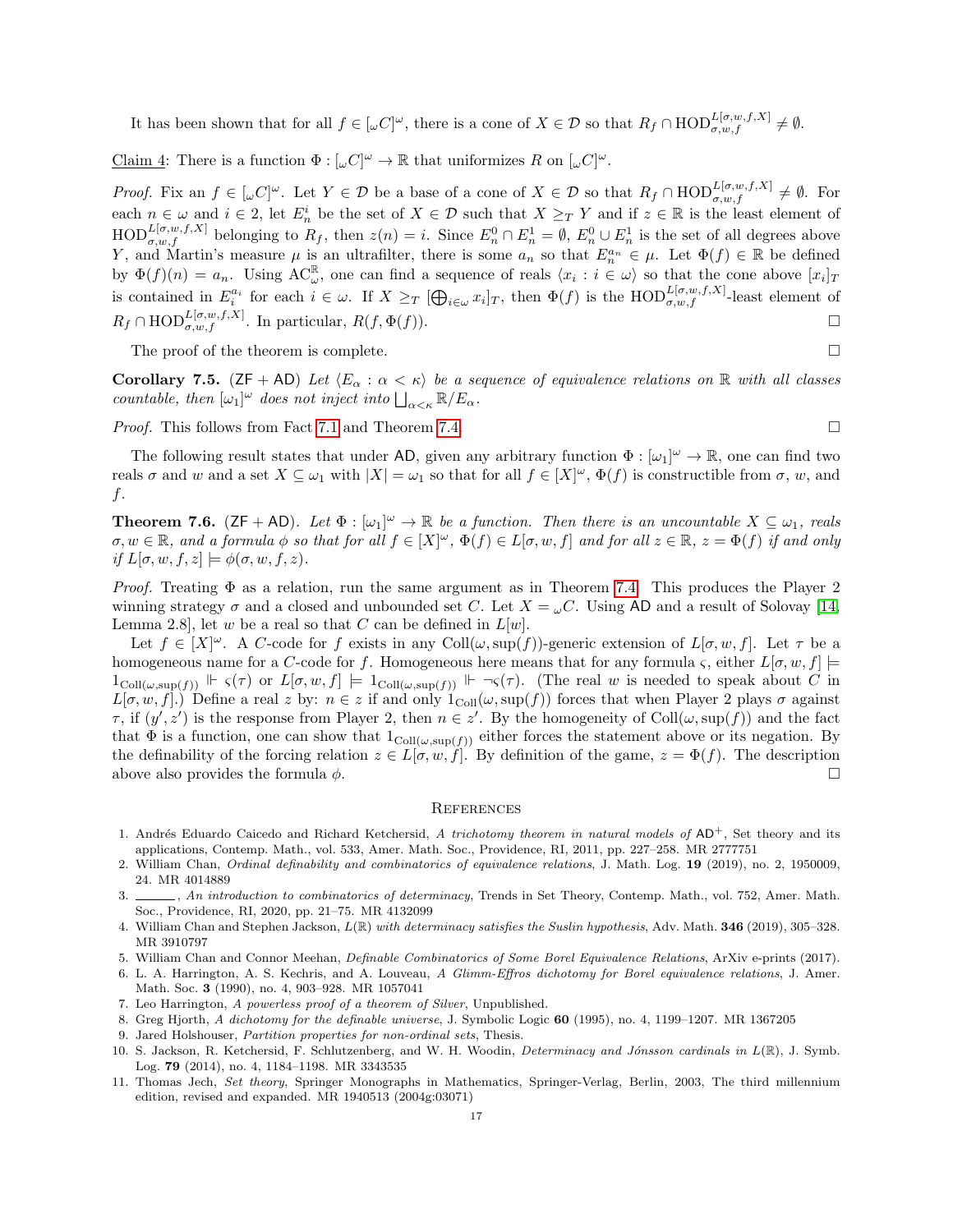It has been shown that for all  $f \in [\omega C]^{\omega}$ , there is a cone of  $X \in \mathcal{D}$  so that  $R_f \cap \text{HOD}_{\sigma,w,f}^{L[\sigma,w,f,X]} \neq \emptyset$ .

Claim 4: There is a function  $\Phi : [\omega C]^{\omega} \to \mathbb{R}$  that uniformizes R on  $[\omega C]^{\omega}$ .

*Proof.* Fix an  $f \in [\omega C]^{\omega}$ . Let  $Y \in \mathcal{D}$  be a base of a cone of  $X \in \mathcal{D}$  so that  $R_f \cap \text{HOD}_{\sigma,w,f}^{L[\sigma,w,f,X]} \neq \emptyset$ . For each  $n \in \omega$  and  $i \in 2$ , let  $E_n^i$  be the set of  $X \in \mathcal{D}$  such that  $X \geq_T Y$  and if  $z \in \mathbb{R}$  is the least element of  $\text{HOD}_{\sigma,w,f}^{L[\sigma,w,f,X]}$  belonging to  $R_f$ , then  $z(n) = i$ . Since  $E_n^0 \cap E_n^1 = \emptyset$ ,  $E_n^0 \cup E_n^1$  is the set of all degrees above Y, and Martin's measure  $\mu$  is an ultrafilter, there is some  $a_n$  so that  $E_n^{a_n} \in \mu$ . Let  $\Phi(f) \in \mathbb{R}$  be defined by  $\Phi(f)(n) = a_n$ . Using  $AC_{\omega}^{\mathbb{R}}$ , one can find a sequence of reals  $\langle x_i : i \in \omega \rangle$  so that the cone above  $[x_i]_T$ is contained in  $E_i^{a_i}$  for each  $i \in \omega$ . If  $X \geq_T [\bigoplus_{i \in \omega} x_i]_T$ , then  $\Phi(f)$  is the  $\text{HOD}_{\sigma,w,f}^{L[\sigma,w,f,X]}$ -least element of  $R_f \cap \text{HOD}_{\sigma, w, f}^{L[\sigma, w, f, X]}$ . In particular,  $R(f, \Phi(f))$ .

The proof of the theorem is complete.  $\Box$ 

<span id="page-16-4"></span>**Corollary 7.5.** ( $\mathsf{ZF} + \mathsf{AD}$ ) Let  $\langle E_\alpha : \alpha < \kappa \rangle$  be a sequence of equivalence relations on R with all classes countable, then  $[\omega_1]^\omega$  does not inject into  $\bigsqcup_{\alpha<\kappa} \mathbb{R}/E_\alpha$ .

*Proof.* This follows from Fact [7.1](#page-13-1) and Theorem [7.4.](#page-14-0)

The following result states that under AD, given any arbitrary function  $\Phi : [\omega_1]^\omega \to \mathbb{R}$ , one can find two reals  $\sigma$  and w and a set  $X \subseteq \omega_1$  with  $|X| = \omega_1$  so that for all  $f \in [X]^\omega$ ,  $\Phi(f)$  is constructible from  $\sigma$ , w, and  $f$ .

<span id="page-16-5"></span>**Theorem 7.6.** ( $ZF + AD$ ). Let  $\Phi : [\omega_1]^{\omega} \to \mathbb{R}$  be a function. Then there is an uncountable  $X \subseteq \omega_1$ , reals  $\sigma, w \in \mathbb{R}$ , and a formula  $\phi$  so that for all  $f \in [X]^\omega$ ,  $\Phi(f) \in L[\sigma, w, f]$  and for all  $z \in \mathbb{R}$ ,  $z = \Phi(f)$  if and only if  $L[\sigma, w, f, z] \models \phi(\sigma, w, f, z)$ .

*Proof.* Treating  $\Phi$  as a relation, run the same argument as in Theorem [7.4.](#page-14-0) This produces the Player 2 winning strategy  $\sigma$  and a closed and unbounded set C. Let  $X = \omega C$ . Using AD and a result of Solovay [\[14,](#page-17-0) Lemma 2.8, let w be a real so that C can be defined in  $L[w]$ .

Let  $f \in [X]^\omega$ . A C-code for f exists in any Coll $(\omega, \sup(f))$ -generic extension of  $L[\sigma, w, f]$ . Let  $\tau$  be a homogeneous name for a C-code for f. Homogeneous here means that for any formula  $\varsigma$ , either  $L[\sigma, w, f] \models$  $1_{\text{Coll}(\omega, \sup(f))} \Vdash \varsigma(\tau)$  or  $L[\sigma, w, f] \models 1_{\text{Coll}(\omega, \sup(f))} \Vdash \neg \varsigma(\tau)$ . (The real w is needed to speak about C in  $L[\sigma, w, f]$ .) Define a real z by:  $n \in \mathbb{Z}$  if and only  $1_{\text{Coll}}(\omega, \text{sup}(f))$  forces that when Player 2 plays  $\sigma$  against  $\tau$ , if  $(y', z')$  is the response from Player 2, then  $n \in z'$ . By the homogeneity of Coll $(\omega, \sup(f))$  and the fact that  $\Phi$  is a function, one can show that  $1_{\text{Coll}(\omega,\text{sup}(f))}$  either forces the statement above or its negation. By the definability of the forcing relation  $z \in L[\sigma, w, f]$ . By definition of the game,  $z = \Phi(f)$ . The description above also provides the formula  $\phi$ .

#### **REFERENCES**

- <span id="page-16-7"></span>1. Andrés Eduardo Caicedo and Richard Ketchersid, A trichotomy theorem in natural models of  $AD^+$ , Set theory and its applications, Contemp. Math., vol. 533, Amer. Math. Soc., Providence, RI, 2011, pp. 227–258. MR 2777751
- <span id="page-16-3"></span>2. William Chan, Ordinal definability and combinatorics of equivalence relations, J. Math. Log. 19 (2019), no. 2, 1950009, 24. MR 4014889
- <span id="page-16-6"></span>3. An introduction to combinatorics of determinacy, Trends in Set Theory, Contemp. Math., vol. 752, Amer. Math. Soc., Providence, RI, 2020, pp. 21–75. MR 4132099
- <span id="page-16-10"></span>4. William Chan and Stephen Jackson,  $L(\mathbb{R})$  with determinacy satisfies the Suslin hypothesis, Adv. Math. **346** (2019), 305–328. MR 3910797
- <span id="page-16-2"></span>5. William Chan and Connor Meehan, Definable Combinatorics of Some Borel Equivalence Relations, ArXiv e-prints (2017).
- <span id="page-16-12"></span>6. L. A. Harrington, A. S. Kechris, and A. Louveau, A Glimm-Effros dichotomy for Borel equivalence relations, J. Amer. Math. Soc. 3 (1990), no. 4, 903–928. MR 1057041
- <span id="page-16-11"></span>7. Leo Harrington, A powerless proof of a theorem of Silver, Unpublished.
- <span id="page-16-9"></span>8. Greg Hjorth, A dichotomy for the definable universe, J. Symbolic Logic 60 (1995), no. 4, 1199–1207. MR 1367205
- <span id="page-16-1"></span>9. Jared Holshouser, Partition properties for non-ordinal sets, Thesis.
- <span id="page-16-0"></span>10. S. Jackson, R. Ketchersid, F. Schlutzenberg, and W. H. Woodin, Determinacy and Jónsson cardinals in  $L(\mathbb{R})$ , J. Symb. Log. 79 (2014), no. 4, 1184–1198. MR 3343535
- <span id="page-16-8"></span>11. Thomas Jech, Set theory, Springer Monographs in Mathematics, Springer-Verlag, Berlin, 2003, The third millennium edition, revised and expanded. MR 1940513 (2004g:03071)